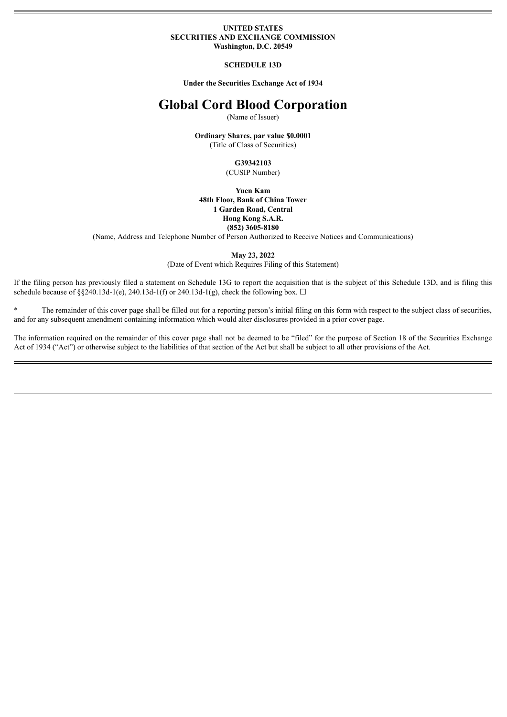#### **UNITED STATES SECURITIES AND EXCHANGE COMMISSION Washington, D.C. 20549**

#### **SCHEDULE 13D**

**Under the Securities Exchange Act of 1934**

# **Global Cord Blood Corporation**

(Name of Issuer)

**Ordinary Shares, par value \$0.0001** (Title of Class of Securities)

> **G39342103** (CUSIP Number)

**Yuen Kam 48th Floor, Bank of China Tower 1 Garden Road, Central Hong Kong S.A.R. (852) 3605-8180**

(Name, Address and Telephone Number of Person Authorized to Receive Notices and Communications)

**May 23, 2022**

(Date of Event which Requires Filing of this Statement)

If the filing person has previously filed a statement on Schedule 13G to report the acquisition that is the subject of this Schedule 13D, and is filing this schedule because of §§240.13d-1(e), 240.13d-1(f) or 240.13d-1(g), check the following box.  $\Box$ 

\* The remainder of this cover page shall be filled out for a reporting person's initial filing on this form with respect to the subject class of securities, and for any subsequent amendment containing information which would alter disclosures provided in a prior cover page.

The information required on the remainder of this cover page shall not be deemed to be "filed" for the purpose of Section 18 of the Securities Exchange Act of 1934 ("Act") or otherwise subject to the liabilities of that section of the Act but shall be subject to all other provisions of the Act.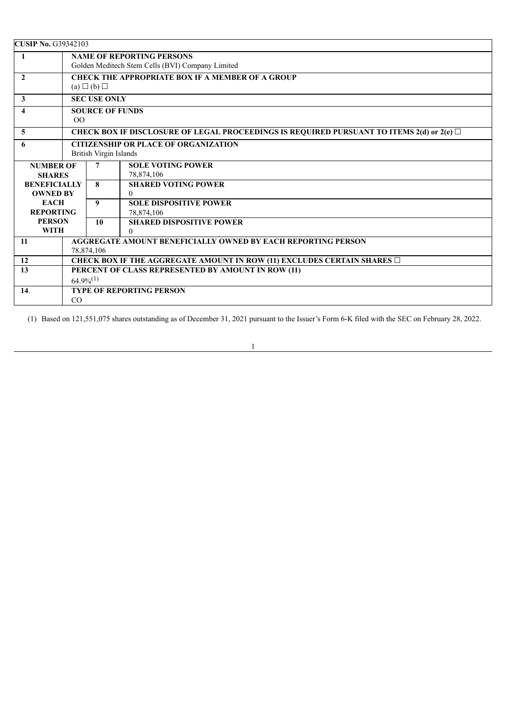| <b>CUSIP No. G39342103</b>                       |                                                                                                |                                 |                                 |  |
|--------------------------------------------------|------------------------------------------------------------------------------------------------|---------------------------------|---------------------------------|--|
| $\mathbf{1}$                                     | <b>NAME OF REPORTING PERSONS</b>                                                               |                                 |                                 |  |
|                                                  | Golden Meditech Stem Cells (BVI) Company Limited                                               |                                 |                                 |  |
| $\mathbf{2}$                                     | CHECK THE APPROPRIATE BOX IF A MEMBER OF A GROUP                                               |                                 |                                 |  |
|                                                  | $(a) \square (b) \square$                                                                      |                                 |                                 |  |
| 3                                                | <b>SEC USE ONLY</b>                                                                            |                                 |                                 |  |
| $\overline{\mathbf{4}}$                          |                                                                                                | <b>SOURCE OF FUNDS</b>          |                                 |  |
|                                                  | 0 <sup>0</sup>                                                                                 |                                 |                                 |  |
| $\overline{5}$                                   | CHECK BOX IF DISCLOSURE OF LEGAL PROCEEDINGS IS REQUIRED PURSUANT TO ITEMS 2(d) or 2(e) $\Box$ |                                 |                                 |  |
| <b>CITIZENSHIP OR PLACE OF ORGANIZATION</b><br>6 |                                                                                                |                                 |                                 |  |
| British Virgin Islands                           |                                                                                                |                                 |                                 |  |
| <b>NUMBER OF</b>                                 |                                                                                                | 7                               | <b>SOLE VOTING POWER</b>        |  |
| <b>SHARES</b>                                    |                                                                                                |                                 | 78,874,106                      |  |
| <b>BENEFICIALLY</b>                              |                                                                                                | 8                               | <b>SHARED VOTING POWER</b>      |  |
| <b>OWNED BY</b>                                  |                                                                                                |                                 | 0                               |  |
| <b>EACH</b>                                      |                                                                                                | 9                               | <b>SOLE DISPOSITIVE POWER</b>   |  |
| <b>REPORTING</b>                                 |                                                                                                |                                 | 78,874,106                      |  |
| <b>PERSON</b>                                    |                                                                                                | 10                              | <b>SHARED DISPOSITIVE POWER</b> |  |
| <b>WITH</b>                                      |                                                                                                |                                 | $\Omega$                        |  |
| 11                                               | <b>AGGREGATE AMOUNT BENEFICIALLY OWNED BY EACH REPORTING PERSON</b>                            |                                 |                                 |  |
|                                                  | 78,874,106                                                                                     |                                 |                                 |  |
| 12                                               | CHECK BOX IF THE AGGREGATE AMOUNT IN ROW (11) EXCLUDES CERTAIN SHARES $\Box$                   |                                 |                                 |  |
| 13                                               | PERCENT OF CLASS REPRESENTED BY AMOUNT IN ROW (11)                                             |                                 |                                 |  |
|                                                  |                                                                                                | $64.9\%^{(1)}$                  |                                 |  |
| 14.                                              |                                                                                                | <b>TYPE OF REPORTING PERSON</b> |                                 |  |
|                                                  | CO                                                                                             |                                 |                                 |  |

(1) Based on 121,551,075 shares outstanding as of December 31, 2021 pursuant to the Issuer's Form 6-K filed with the SEC on February 28, 2022.

1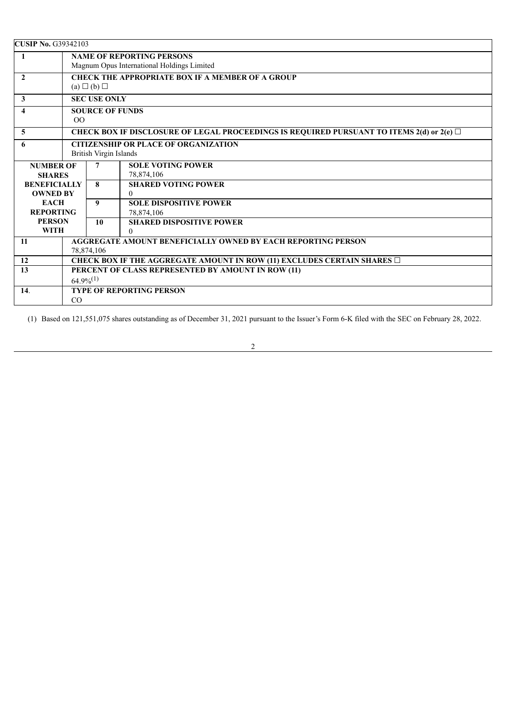| <b>CUSIP No. G39342103</b>                       |                                                                                                |                                 |                                 |  |
|--------------------------------------------------|------------------------------------------------------------------------------------------------|---------------------------------|---------------------------------|--|
| $\mathbf{1}$                                     | <b>NAME OF REPORTING PERSONS</b>                                                               |                                 |                                 |  |
|                                                  | Magnum Opus International Holdings Limited                                                     |                                 |                                 |  |
| $\mathbf{2}$                                     | CHECK THE APPROPRIATE BOX IF A MEMBER OF A GROUP                                               |                                 |                                 |  |
|                                                  | $(a) \Box (b) \Box$                                                                            |                                 |                                 |  |
| 3                                                | <b>SEC USE ONLY</b>                                                                            |                                 |                                 |  |
| 4                                                |                                                                                                | <b>SOURCE OF FUNDS</b>          |                                 |  |
|                                                  | O <sub>O</sub>                                                                                 |                                 |                                 |  |
| $\overline{5}$                                   | CHECK BOX IF DISCLOSURE OF LEGAL PROCEEDINGS IS REQUIRED PURSUANT TO ITEMS 2(d) or 2(e) $\Box$ |                                 |                                 |  |
| <b>CITIZENSHIP OR PLACE OF ORGANIZATION</b><br>6 |                                                                                                |                                 |                                 |  |
| British Virgin Islands                           |                                                                                                |                                 |                                 |  |
| <b>NUMBER OF</b>                                 |                                                                                                | 7                               | <b>SOLE VOTING POWER</b>        |  |
| <b>SHARES</b>                                    |                                                                                                |                                 | 78,874,106                      |  |
| <b>BENEFICIALLY</b>                              |                                                                                                | 8                               | <b>SHARED VOTING POWER</b>      |  |
| <b>OWNED BY</b>                                  |                                                                                                |                                 | $\Omega$                        |  |
| <b>EACH</b>                                      |                                                                                                | 9                               | <b>SOLE DISPOSITIVE POWER</b>   |  |
| <b>REPORTING</b>                                 |                                                                                                |                                 | 78,874,106                      |  |
| <b>PERSON</b>                                    |                                                                                                | 10                              | <b>SHARED DISPOSITIVE POWER</b> |  |
| <b>WITH</b>                                      |                                                                                                |                                 | $\Omega$                        |  |
| 11                                               | <b>AGGREGATE AMOUNT BENEFICIALLY OWNED BY EACH REPORTING PERSON</b>                            |                                 |                                 |  |
|                                                  | 78,874,106                                                                                     |                                 |                                 |  |
| 12                                               | CHECK BOX IF THE AGGREGATE AMOUNT IN ROW (11) EXCLUDES CERTAIN SHARES $\Box$                   |                                 |                                 |  |
| 13                                               | PERCENT OF CLASS REPRESENTED BY AMOUNT IN ROW (11)                                             |                                 |                                 |  |
|                                                  |                                                                                                | $64.9\%^{(1)}$                  |                                 |  |
| 14.                                              |                                                                                                | <b>TYPE OF REPORTING PERSON</b> |                                 |  |
|                                                  | CO                                                                                             |                                 |                                 |  |

(1) Based on 121,551,075 shares outstanding as of December 31, 2021 pursuant to the Issuer's Form 6-K filed with the SEC on February 28, 2022.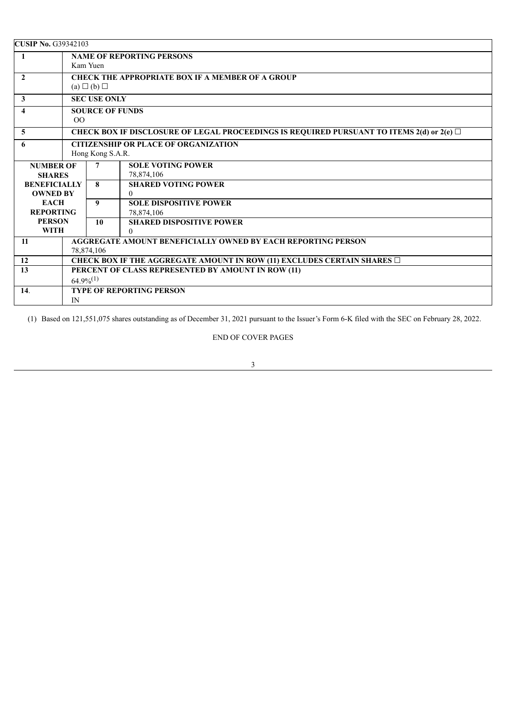| <b>CUSIP No. G39342103</b> |                                                                                                |                     |                                 |  |
|----------------------------|------------------------------------------------------------------------------------------------|---------------------|---------------------------------|--|
| $\mathbf{1}$               | <b>NAME OF REPORTING PERSONS</b>                                                               |                     |                                 |  |
| Kam Yuen                   |                                                                                                |                     |                                 |  |
| $\mathbf{2}$               | <b>CHECK THE APPROPRIATE BOX IF A MEMBER OF A GROUP</b>                                        |                     |                                 |  |
|                            | $(a) \Box (b) \Box$                                                                            |                     |                                 |  |
| 3                          |                                                                                                | <b>SEC USE ONLY</b> |                                 |  |
| 4                          | <b>SOURCE OF FUNDS</b>                                                                         |                     |                                 |  |
|                            | O <sub>O</sub>                                                                                 |                     |                                 |  |
| $\overline{5}$             | CHECK BOX IF DISCLOSURE OF LEGAL PROCEEDINGS IS REQUIRED PURSUANT TO ITEMS 2(d) or 2(e) $\Box$ |                     |                                 |  |
| 6                          | <b>CITIZENSHIP OR PLACE OF ORGANIZATION</b>                                                    |                     |                                 |  |
|                            | Hong Kong S.A.R.                                                                               |                     |                                 |  |
| <b>NUMBER OF</b>           |                                                                                                | $\overline{7}$      | <b>SOLE VOTING POWER</b>        |  |
| <b>SHARES</b>              |                                                                                                |                     | 78,874,106                      |  |
| <b>BENEFICIALLY</b>        |                                                                                                | 8                   | <b>SHARED VOTING POWER</b>      |  |
| <b>OWNED BY</b>            |                                                                                                |                     | $\mathbf{0}$                    |  |
| <b>EACH</b>                |                                                                                                | 9                   | <b>SOLE DISPOSITIVE POWER</b>   |  |
| <b>REPORTING</b>           |                                                                                                |                     | 78,874,106                      |  |
| <b>PERSON</b>              |                                                                                                | 10                  | <b>SHARED DISPOSITIVE POWER</b> |  |
| <b>WITH</b>                |                                                                                                |                     | $\Omega$                        |  |
| 11                         | <b>AGGREGATE AMOUNT BENEFICIALLY OWNED BY EACH REPORTING PERSON</b><br>78.874.106              |                     |                                 |  |
| 12                         | CHECK BOX IF THE AGGREGATE AMOUNT IN ROW (11) EXCLUDES CERTAIN SHARES $\Box$                   |                     |                                 |  |
| 13                         | PERCENT OF CLASS REPRESENTED BY AMOUNT IN ROW (11)                                             |                     |                                 |  |
|                            |                                                                                                | $64.9\%^{(1)}$      |                                 |  |
| 14.                        |                                                                                                |                     | <b>TYPE OF REPORTING PERSON</b> |  |
| IN                         |                                                                                                |                     |                                 |  |

(1) Based on 121,551,075 shares outstanding as of December 31, 2021 pursuant to the Issuer's Form 6-K filed with the SEC on February 28, 2022.

# END OF COVER PAGES

3

<u> 1989 - Johann Barn, mars eta bainar eta bainar eta baina eta baina eta baina eta baina eta baina eta baina e</u>

<u> 1980 - Johann Stoff, deutscher Stoffen und der Stoffen und der Stoffen und der Stoffen und der Stoffen und der</u>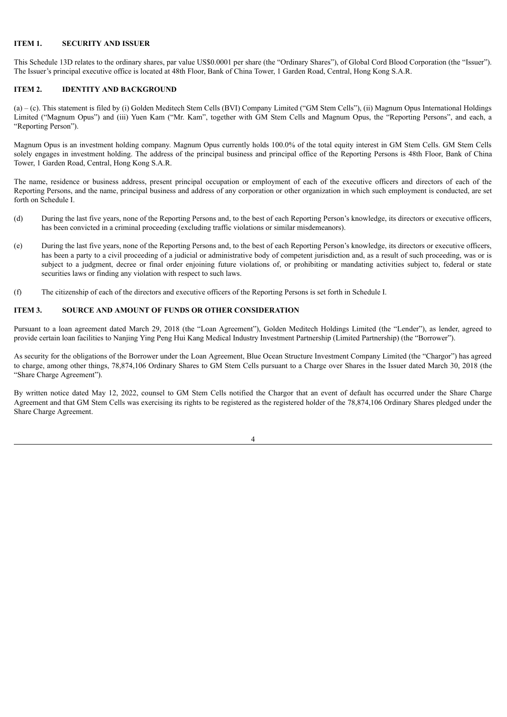#### **ITEM 1. SECURITY AND ISSUER**

This Schedule 13D relates to the ordinary shares, par value US\$0.0001 per share (the "Ordinary Shares"), of Global Cord Blood Corporation (the "Issuer"). The Issuer's principal executive office is located at 48th Floor, Bank of China Tower, 1 Garden Road, Central, Hong Kong S.A.R.

## **ITEM 2. IDENTITY AND BACKGROUND**

(a) – (c). This statement is filed by (i) Golden Meditech Stem Cells (BVI) Company Limited ("GM Stem Cells"), (ii) Magnum Opus International Holdings Limited ("Magnum Opus") and (iii) Yuen Kam ("Mr. Kam", together with GM Stem Cells and Magnum Opus, the "Reporting Persons", and each, a "Reporting Person").

Magnum Opus is an investment holding company. Magnum Opus currently holds 100.0% of the total equity interest in GM Stem Cells. GM Stem Cells solely engages in investment holding. The address of the principal business and principal office of the Reporting Persons is 48th Floor, Bank of China Tower, 1 Garden Road, Central, Hong Kong S.A.R.

The name, residence or business address, present principal occupation or employment of each of the executive officers and directors of each of the Reporting Persons, and the name, principal business and address of any corporation or other organization in which such employment is conducted, are set forth on Schedule I.

- (d) During the last five years, none of the Reporting Persons and, to the best of each Reporting Person's knowledge, its directors or executive officers, has been convicted in a criminal proceeding (excluding traffic violations or similar misdemeanors).
- (e) During the last five years, none of the Reporting Persons and, to the best of each Reporting Person's knowledge, its directors or executive officers, has been a party to a civil proceeding of a judicial or administrative body of competent jurisdiction and, as a result of such proceeding, was or is subject to a judgment, decree or final order enjoining future violations of, or prohibiting or mandating activities subject to, federal or state securities laws or finding any violation with respect to such laws.
- (f) The citizenship of each of the directors and executive officers of the Reporting Persons is set forth in Schedule I.

#### **ITEM 3. SOURCE AND AMOUNT OF FUNDS OR OTHER CONSIDERATION**

Pursuant to a loan agreement dated March 29, 2018 (the "Loan Agreement"), Golden Meditech Holdings Limited (the "Lender"), as lender, agreed to provide certain loan facilities to Nanjing Ying Peng Hui Kang Medical Industry Investment Partnership (Limited Partnership) (the "Borrower").

As security for the obligations of the Borrower under the Loan Agreement, Blue Ocean Structure Investment Company Limited (the "Chargor") has agreed to charge, among other things, 78,874,106 Ordinary Shares to GM Stem Cells pursuant to a Charge over Shares in the Issuer dated March 30, 2018 (the "Share Charge Agreement").

By written notice dated May 12, 2022, counsel to GM Stem Cells notified the Chargor that an event of default has occurred under the Share Charge Agreement and that GM Stem Cells was exercising its rights to be registered as the registered holder of the 78,874,106 Ordinary Shares pledged under the Share Charge Agreement.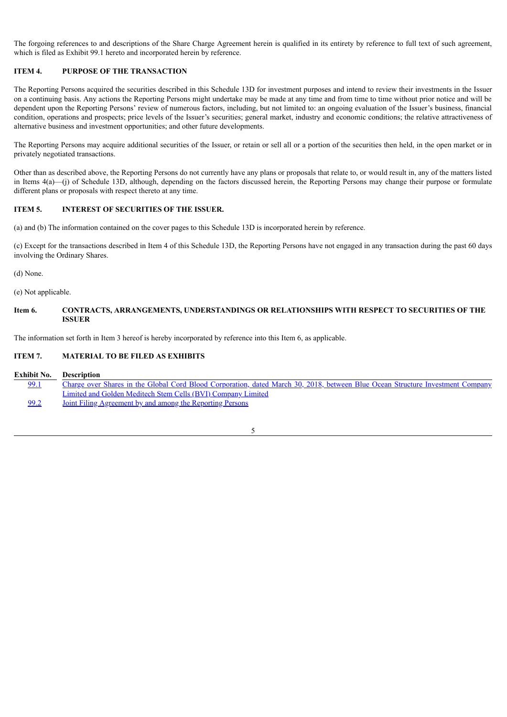The forgoing references to and descriptions of the Share Charge Agreement herein is qualified in its entirety by reference to full text of such agreement, which is filed as Exhibit 99.1 hereto and incorporated herein by reference.

## **ITEM 4. PURPOSE OF THE TRANSACTION**

The Reporting Persons acquired the securities described in this Schedule 13D for investment purposes and intend to review their investments in the Issuer on a continuing basis. Any actions the Reporting Persons might undertake may be made at any time and from time to time without prior notice and will be dependent upon the Reporting Persons' review of numerous factors, including, but not limited to: an ongoing evaluation of the Issuer's business, financial condition, operations and prospects; price levels of the Issuer's securities; general market, industry and economic conditions; the relative attractiveness of alternative business and investment opportunities; and other future developments.

The Reporting Persons may acquire additional securities of the Issuer, or retain or sell all or a portion of the securities then held, in the open market or in privately negotiated transactions.

Other than as described above, the Reporting Persons do not currently have any plans or proposals that relate to, or would result in, any of the matters listed in Items 4(a)—(j) of Schedule 13D, although, depending on the factors discussed herein, the Reporting Persons may change their purpose or formulate different plans or proposals with respect thereto at any time.

#### **ITEM 5. INTEREST OF SECURITIES OF THE ISSUER.**

(a) and (b) The information contained on the cover pages to this Schedule 13D is incorporated herein by reference.

(c) Except for the transactions described in Item 4 of this Schedule 13D, the Reporting Persons have not engaged in any transaction during the past 60 days involving the Ordinary Shares.

(d) None.

(e) Not applicable.

## **Item 6. CONTRACTS, ARRANGEMENTS, UNDERSTANDINGS OR RELATIONSHIPS WITH RESPECT TO SECURITIES OF THE ISSUER**

The information set forth in Item 3 hereof is hereby incorporated by reference into this Item 6, as applicable.

#### **ITEM 7. MATERIAL TO BE FILED AS EXHIBITS**

| Exhibit No. | <b>Description</b>                                                                                                             |
|-------------|--------------------------------------------------------------------------------------------------------------------------------|
| 99.1        | Charge over Shares in the Global Cord Blood Corporation, dated March 30, 2018, between Blue Ocean Structure Investment Company |
|             | Limited and Golden Meditech Stem Cells (BVI) Company Limited                                                                   |
| 99.2        | <u>Joint Filing Agreement by and among the Reporting Persons</u>                                                               |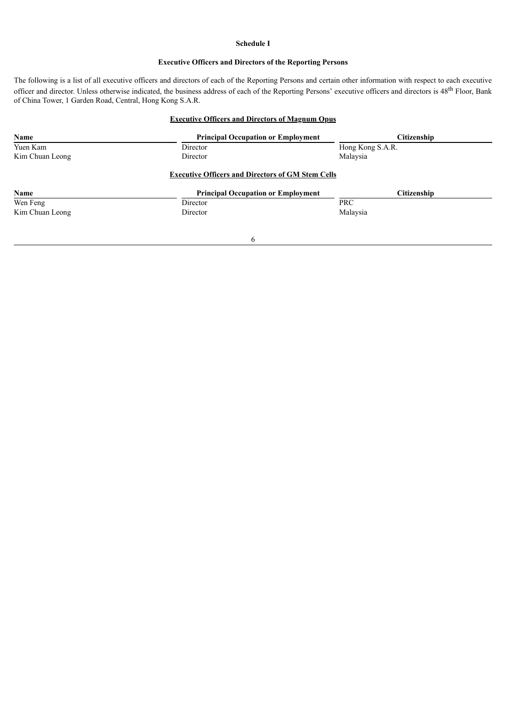#### **Schedule I**

#### **Executive Officers and Directors of the Reporting Persons**

The following is a list of all executive officers and directors of each of the Reporting Persons and certain other information with respect to each executive officer and director. Unless otherwise indicated, the business address of each of the Reporting Persons' executive officers and directors is 48<sup>th</sup> Floor, Bank of China Tower, 1 Garden Road, Central, Hong Kong S.A.R.

## **Executive Officers and Directors of Magnum Opus**

| Name            | <b>Principal Occupation or Employment</b>                | Citizenship      |
|-----------------|----------------------------------------------------------|------------------|
| Yuen Kam        | Director                                                 | Hong Kong S.A.R. |
| Kim Chuan Leong | Director                                                 | Malaysia         |
|                 | <b>Executive Officers and Directors of GM Stem Cells</b> |                  |
| Name            | <b>Principal Occupation or Employment</b>                | Citizenship      |
| Wen Feng        | Director                                                 | <b>PRC</b>       |
| Kim Chuan Leong | Director                                                 | Malaysia         |
|                 | 6                                                        |                  |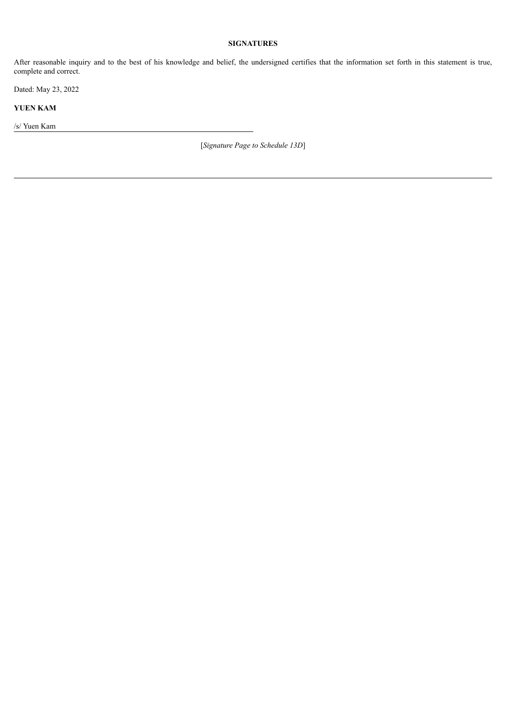## **SIGNATURES**

After reasonable inquiry and to the best of his knowledge and belief, the undersigned certifies that the information set forth in this statement is true, complete and correct.

Dated: May 23, 2022

**YUEN KAM**

/s/ Yuen Kam

[*Signature Page to Schedule 13D*]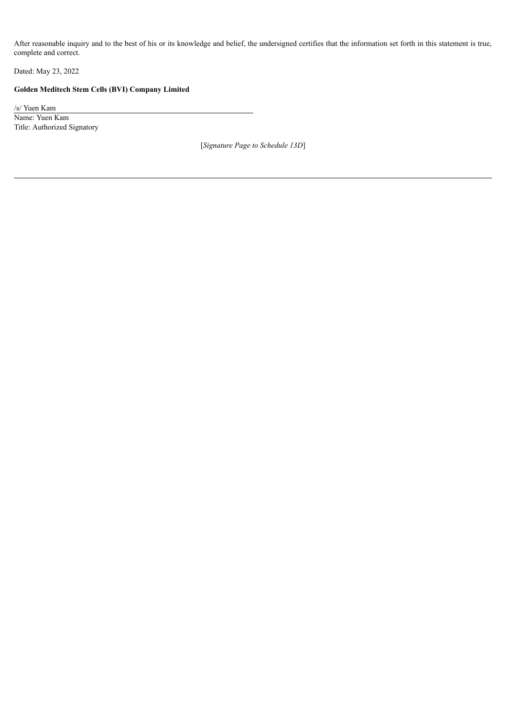After reasonable inquiry and to the best of his or its knowledge and belief, the undersigned certifies that the information set forth in this statement is true, complete and correct.

Dated: May 23, 2022

# **Golden Meditech Stem Cells (BVI) Company Limited**

/s/ Yuen Kam Name: Yuen Kam Title: Authorized Signatory

[*Signature Page to Schedule 13D*]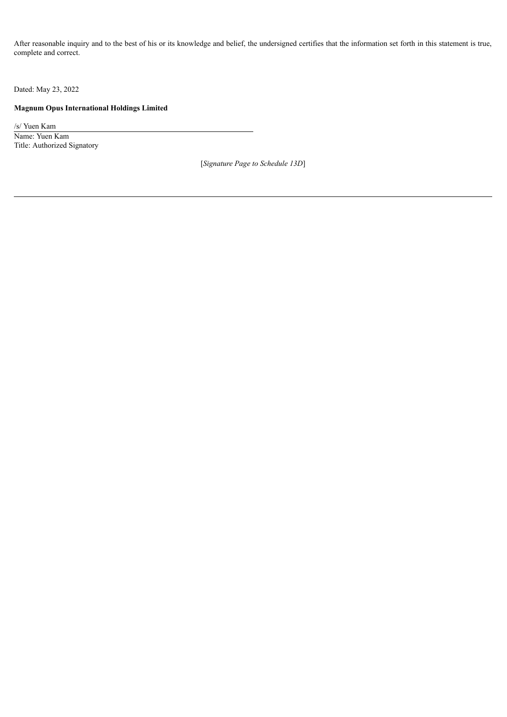After reasonable inquiry and to the best of his or its knowledge and belief, the undersigned certifies that the information set forth in this statement is true, complete and correct.

Dated: May 23, 2022

## **Magnum Opus International Holdings Limited**

/s/ Yuen Kam Name: Yuen Kam Title: Authorized Signatory

[*Signature Page to Schedule 13D*]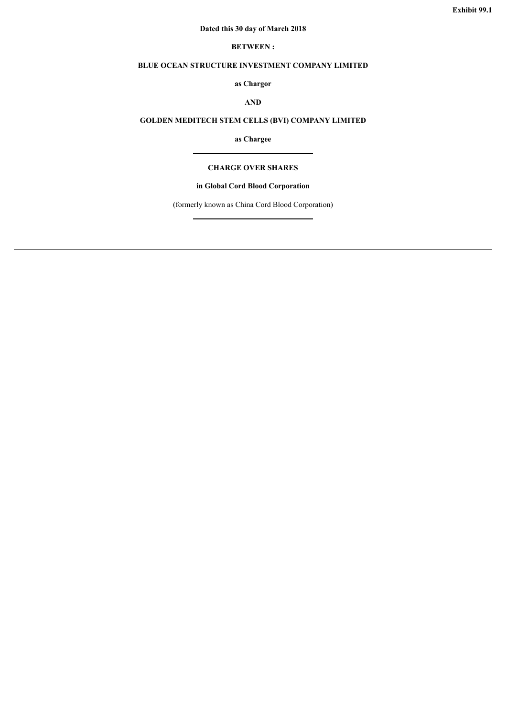## **Dated this 30 day of March 2018**

## **BETWEEN :**

# <span id="page-10-0"></span>**BLUE OCEAN STRUCTURE INVESTMENT COMPANY LIMITED**

# **as Chargor**

# **AND**

# **GOLDEN MEDITECH STEM CELLS (BVI) COMPANY LIMITED**

**as Chargee**

#### **CHARGE OVER SHARES**

## **in Global Cord Blood Corporation**

(formerly known as China Cord Blood Corporation)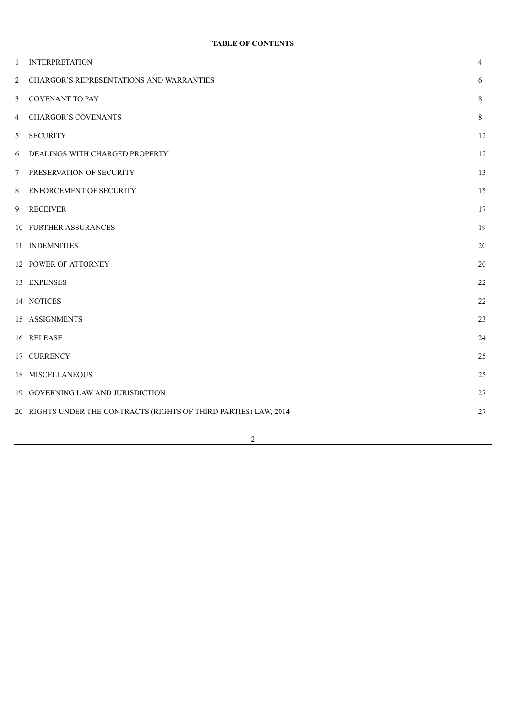| 1 | <b>INTERPRETATION</b>                                             | $\overline{4}$ |
|---|-------------------------------------------------------------------|----------------|
| 2 | <b>CHARGOR'S REPRESENTATIONS AND WARRANTIES</b>                   | 6              |
| 3 | <b>COVENANT TO PAY</b>                                            | 8              |
| 4 | <b>CHARGOR'S COVENANTS</b>                                        | 8              |
| 5 | <b>SECURITY</b>                                                   | 12             |
| 6 | DEALINGS WITH CHARGED PROPERTY                                    | 12             |
| 7 | PRESERVATION OF SECURITY                                          | 13             |
| 8 | ENFORCEMENT OF SECURITY                                           | 15             |
| 9 | <b>RECEIVER</b>                                                   | 17             |
|   | 10 FURTHER ASSURANCES                                             | 19             |
|   | 11 INDEMNITIES                                                    | 20             |
|   | 12 POWER OF ATTORNEY                                              | 20             |
|   | 13 EXPENSES                                                       | 22             |
|   | 14 NOTICES                                                        | 22             |
|   | 15 ASSIGNMENTS                                                    | 23             |
|   | 16 RELEASE                                                        | 24             |
|   | 17 CURRENCY                                                       | 25             |
|   | 18 MISCELLANEOUS                                                  | 25             |
|   | 19 GOVERNING LAW AND JURISDICTION                                 | 27             |
|   | 20 RIGHTS UNDER THE CONTRACTS (RIGHTS OF THIRD PARTIES) LAW, 2014 | $27\,$         |
|   |                                                                   |                |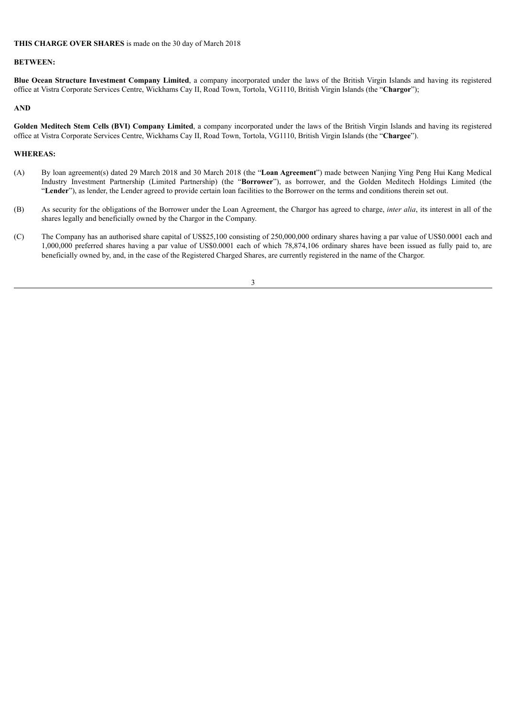#### **THIS CHARGE OVER SHARES** is made on the 30 day of March 2018

#### **BETWEEN:**

**Blue Ocean Structure Investment Company Limited**, a company incorporated under the laws of the British Virgin Islands and having its registered office at Vistra Corporate Services Centre, Wickhams Cay II, Road Town, Tortola, VG1110, British Virgin Islands (the "**Chargor**");

## **AND**

**Golden Meditech Stem Cells (BVI) Company Limited**, a company incorporated under the laws of the British Virgin Islands and having its registered office at Vistra Corporate Services Centre, Wickhams Cay II, Road Town, Tortola, VG1110, British Virgin Islands (the "**Chargee**").

#### **WHEREAS:**

- (A) By loan agreement(s) dated 29 March 2018 and 30 March 2018 (the "**Loan Agreement**") made between Nanjing Ying Peng Hui Kang Medical Industry Investment Partnership (Limited Partnership) (the "**Borrower**"), as borrower, and the Golden Meditech Holdings Limited (the "**Lender**"), as lender, the Lender agreed to provide certain loan facilities to the Borrower on the terms and conditions therein set out.
- (B) As security for the obligations of the Borrower under the Loan Agreement, the Chargor has agreed to charge, *inter alia*, its interest in all of the shares legally and beneficially owned by the Chargor in the Company.
- (C) The Company has an authorised share capital of US\$25,100 consisting of 250,000,000 ordinary shares having a par value of US\$0.0001 each and 1,000,000 preferred shares having a par value of US\$0.0001 each of which 78,874,106 ordinary shares have been issued as fully paid to, are beneficially owned by, and, in the case of the Registered Charged Shares, are currently registered in the name of the Chargor.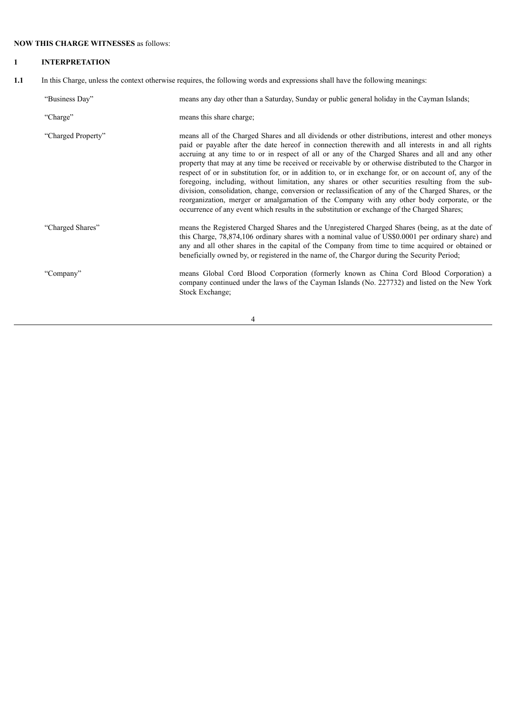# **NOW THIS CHARGE WITNESSES** as follows:

# **1 INTERPRETATION**

**1.1** In this Charge, unless the context otherwise requires, the following words and expressions shall have the following meanings:

| "Business Day"     | means any day other than a Saturday, Sunday or public general holiday in the Cayman Islands;                                                                                                                                                                                                                                                                                                                                                                                                                                                                                                                                                                                                                                                                                                                                                                                                                                              |
|--------------------|-------------------------------------------------------------------------------------------------------------------------------------------------------------------------------------------------------------------------------------------------------------------------------------------------------------------------------------------------------------------------------------------------------------------------------------------------------------------------------------------------------------------------------------------------------------------------------------------------------------------------------------------------------------------------------------------------------------------------------------------------------------------------------------------------------------------------------------------------------------------------------------------------------------------------------------------|
| "Charge"           | means this share charge;                                                                                                                                                                                                                                                                                                                                                                                                                                                                                                                                                                                                                                                                                                                                                                                                                                                                                                                  |
| "Charged Property" | means all of the Charged Shares and all dividends or other distributions, interest and other moneys<br>paid or payable after the date hereof in connection therewith and all interests in and all rights<br>accruing at any time to or in respect of all or any of the Charged Shares and all and any other<br>property that may at any time be received or receivable by or otherwise distributed to the Chargor in<br>respect of or in substitution for, or in addition to, or in exchange for, or on account of, any of the<br>foregoing, including, without limitation, any shares or other securities resulting from the sub-<br>division, consolidation, change, conversion or reclassification of any of the Charged Shares, or the<br>reorganization, merger or amalgamation of the Company with any other body corporate, or the<br>occurrence of any event which results in the substitution or exchange of the Charged Shares; |
| "Charged Shares"   | means the Registered Charged Shares and the Unregistered Charged Shares (being, as at the date of<br>this Charge, 78,874,106 ordinary shares with a nominal value of US\$0.0001 per ordinary share) and<br>any and all other shares in the capital of the Company from time to time acquired or obtained or<br>beneficially owned by, or registered in the name of, the Chargor during the Security Period;                                                                                                                                                                                                                                                                                                                                                                                                                                                                                                                               |
| "Company"          | means Global Cord Blood Corporation (formerly known as China Cord Blood Corporation) a<br>company continued under the laws of the Cayman Islands (No. 227732) and listed on the New York<br>Stock Exchange;                                                                                                                                                                                                                                                                                                                                                                                                                                                                                                                                                                                                                                                                                                                               |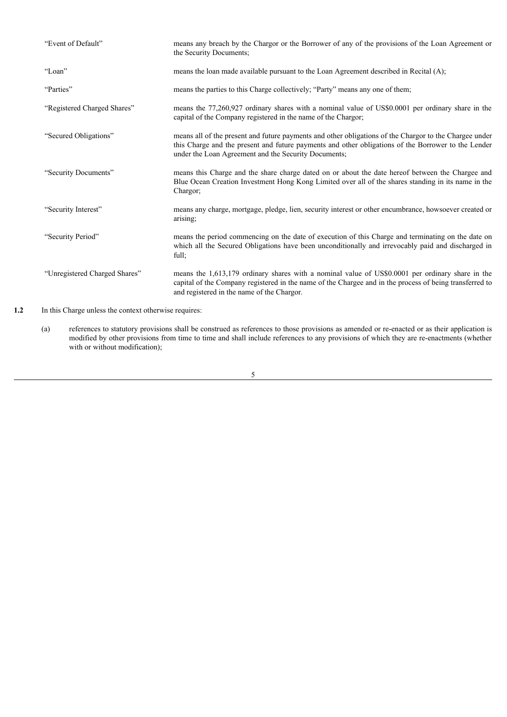| "Event of Default"            | means any breach by the Chargor or the Borrower of any of the provisions of the Loan Agreement or<br>the Security Documents:                                                                                                                                          |
|-------------------------------|-----------------------------------------------------------------------------------------------------------------------------------------------------------------------------------------------------------------------------------------------------------------------|
| "Loan"                        | means the loan made available pursuant to the Loan Agreement described in Recital (A);                                                                                                                                                                                |
| "Parties"                     | means the parties to this Charge collectively; "Party" means any one of them;                                                                                                                                                                                         |
| "Registered Charged Shares"   | means the 77,260,927 ordinary shares with a nominal value of US\$0,0001 per ordinary share in the<br>capital of the Company registered in the name of the Chargor;                                                                                                    |
| "Secured Obligations"         | means all of the present and future payments and other obligations of the Chargor to the Chargee under<br>this Charge and the present and future payments and other obligations of the Borrower to the Lender<br>under the Loan Agreement and the Security Documents; |
| "Security Documents"          | means this Charge and the share charge dated on or about the date hereof between the Chargee and<br>Blue Ocean Creation Investment Hong Kong Limited over all of the shares standing in its name in the<br>Chargor;                                                   |
| "Security Interest"           | means any charge, mortgage, pledge, lien, security interest or other encumbrance, howsoever created or<br>arising;                                                                                                                                                    |
| "Security Period"             | means the period commencing on the date of execution of this Charge and terminating on the date on<br>which all the Secured Obligations have been unconditionally and irrevocably paid and discharged in<br>full:                                                     |
| "Unregistered Charged Shares" | means the 1,613,179 ordinary shares with a nominal value of US\$0.0001 per ordinary share in the<br>capital of the Company registered in the name of the Chargee and in the process of being transferred to<br>and registered in the name of the Chargor.             |

1.2 In this Charge unless the context otherwise requires:

(a) references to statutory provisions shall be construed as references to those provisions as amended or re-enacted or as their application is modified by other provisions from time to time and shall include references to any provisions of which they are re-enactments (whether with or without modification);

<u> 1989 - Johann Barn, mars ar breist fan de Fryske kommunent fan de Fryske kommunent fan de Fryske kommunent f</u>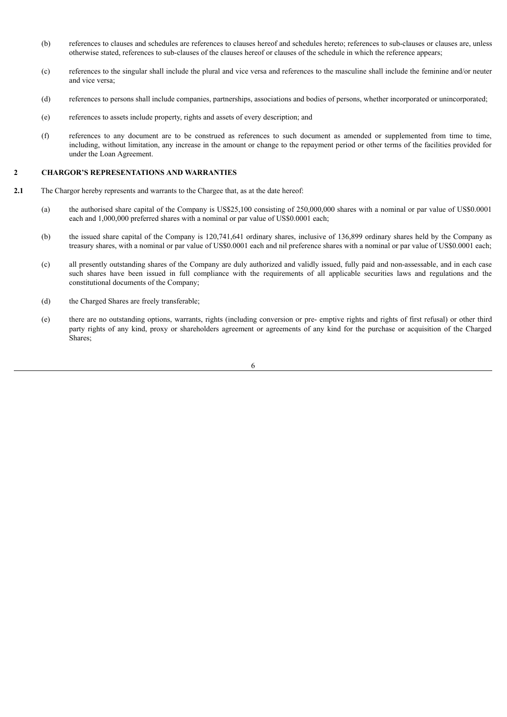- (b) references to clauses and schedules are references to clauses hereof and schedules hereto; references to sub-clauses or clauses are, unless otherwise stated, references to sub-clauses of the clauses hereof or clauses of the schedule in which the reference appears;
- (c) references to the singular shall include the plural and vice versa and references to the masculine shall include the feminine and/or neuter and vice versa;
- (d) references to persons shall include companies, partnerships, associations and bodies of persons, whether incorporated or unincorporated;
- (e) references to assets include property, rights and assets of every description; and
- (f) references to any document are to be construed as references to such document as amended or supplemented from time to time, including, without limitation, any increase in the amount or change to the repayment period or other terms of the facilities provided for under the Loan Agreement.

#### **2 CHARGOR'S REPRESENTATIONS AND WARRANTIES**

- **2.1** The Chargor hereby represents and warrants to the Chargee that, as at the date hereof:
	- (a) the authorised share capital of the Company is US\$25,100 consisting of 250,000,000 shares with a nominal or par value of US\$0.0001 each and 1,000,000 preferred shares with a nominal or par value of US\$0.0001 each;
	- (b) the issued share capital of the Company is 120,741,641 ordinary shares, inclusive of 136,899 ordinary shares held by the Company as treasury shares, with a nominal or par value of US\$0.0001 each and nil preference shares with a nominal or par value of US\$0.0001 each;
	- (c) all presently outstanding shares of the Company are duly authorized and validly issued, fully paid and non-assessable, and in each case such shares have been issued in full compliance with the requirements of all applicable securities laws and regulations and the constitutional documents of the Company;
	- (d) the Charged Shares are freely transferable;
	- (e) there are no outstanding options, warrants, rights (including conversion or pre- emptive rights and rights of first refusal) or other third party rights of any kind, proxy or shareholders agreement or agreements of any kind for the purchase or acquisition of the Charged Shares;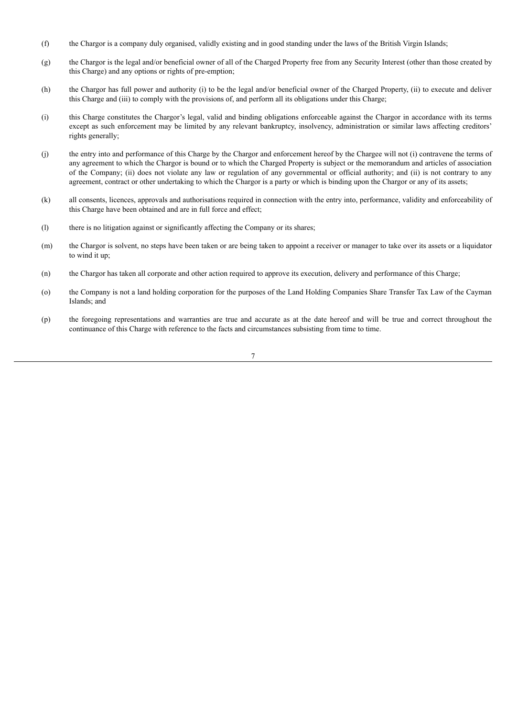- (f) the Chargor is a company duly organised, validly existing and in good standing under the laws of the British Virgin Islands;
- (g) the Chargor is the legal and/or beneficial owner of all of the Charged Property free from any Security Interest (other than those created by this Charge) and any options or rights of pre-emption;
- (h) the Chargor has full power and authority (i) to be the legal and/or beneficial owner of the Charged Property, (ii) to execute and deliver this Charge and (iii) to comply with the provisions of, and perform all its obligations under this Charge;
- (i) this Charge constitutes the Chargor's legal, valid and binding obligations enforceable against the Chargor in accordance with its terms except as such enforcement may be limited by any relevant bankruptcy, insolvency, administration or similar laws affecting creditors' rights generally;
- (j) the entry into and performance of this Charge by the Chargor and enforcement hereof by the Chargee will not (i) contravene the terms of any agreement to which the Chargor is bound or to which the Charged Property is subject or the memorandum and articles of association of the Company; (ii) does not violate any law or regulation of any governmental or official authority; and (ii) is not contrary to any agreement, contract or other undertaking to which the Chargor is a party or which is binding upon the Chargor or any of its assets;
- (k) all consents, licences, approvals and authorisations required in connection with the entry into, performance, validity and enforceability of this Charge have been obtained and are in full force and effect;
- (l) there is no litigation against or significantly affecting the Company or its shares;
- (m) the Chargor is solvent, no steps have been taken or are being taken to appoint a receiver or manager to take over its assets or a liquidator to wind it up;
- (n) the Chargor has taken all corporate and other action required to approve its execution, delivery and performance of this Charge;
- (o) the Company is not a land holding corporation for the purposes of the Land Holding Companies Share Transfer Tax Law of the Cayman Islands; and
- (p) the foregoing representations and warranties are true and accurate as at the date hereof and will be true and correct throughout the continuance of this Charge with reference to the facts and circumstances subsisting from time to time.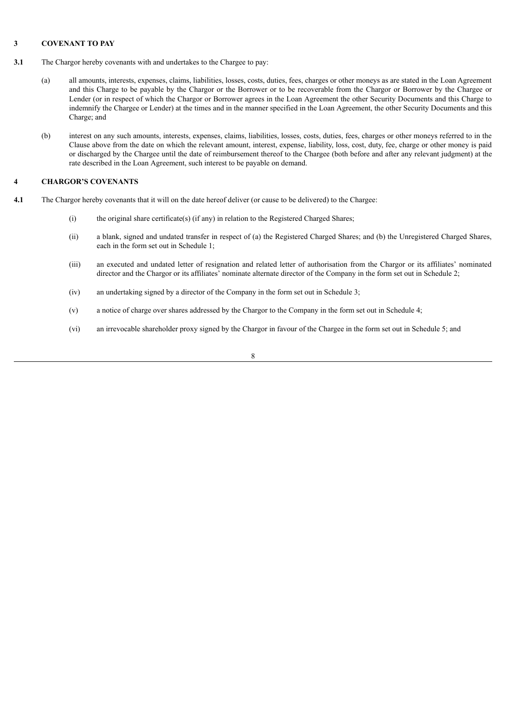## **3 COVENANT TO PAY**

- **3.1** The Chargor hereby covenants with and undertakes to the Chargee to pay:
	- (a) all amounts, interests, expenses, claims, liabilities, losses, costs, duties, fees, charges or other moneys as are stated in the Loan Agreement and this Charge to be payable by the Chargor or the Borrower or to be recoverable from the Chargor or Borrower by the Chargee or Lender (or in respect of which the Chargor or Borrower agrees in the Loan Agreement the other Security Documents and this Charge to indemnify the Chargee or Lender) at the times and in the manner specified in the Loan Agreement, the other Security Documents and this Charge; and
	- (b) interest on any such amounts, interests, expenses, claims, liabilities, losses, costs, duties, fees, charges or other moneys referred to in the Clause above from the date on which the relevant amount, interest, expense, liability, loss, cost, duty, fee, charge or other money is paid or discharged by the Chargee until the date of reimbursement thereof to the Chargee (both before and after any relevant judgment) at the rate described in the Loan Agreement, such interest to be payable on demand.

## **4 CHARGOR'S COVENANTS**

- **4.1** The Chargor hereby covenants that it will on the date hereof deliver (or cause to be delivered) to the Chargee:
	- (i) the original share certificate(s) (if any) in relation to the Registered Charged Shares;
	- (ii) a blank, signed and undated transfer in respect of (a) the Registered Charged Shares; and (b) the Unregistered Charged Shares, each in the form set out in Schedule 1;
	- (iii) an executed and undated letter of resignation and related letter of authorisation from the Chargor or its affiliates' nominated director and the Chargor or its affiliates' nominate alternate director of the Company in the form set out in Schedule 2;
	- (iv) an undertaking signed by a director of the Company in the form set out in Schedule 3;
	- (v) a notice of charge over shares addressed by the Chargor to the Company in the form set out in Schedule 4;
	- (vi) an irrevocable shareholder proxy signed by the Chargor in favour of the Chargee in the form set out in Schedule 5; and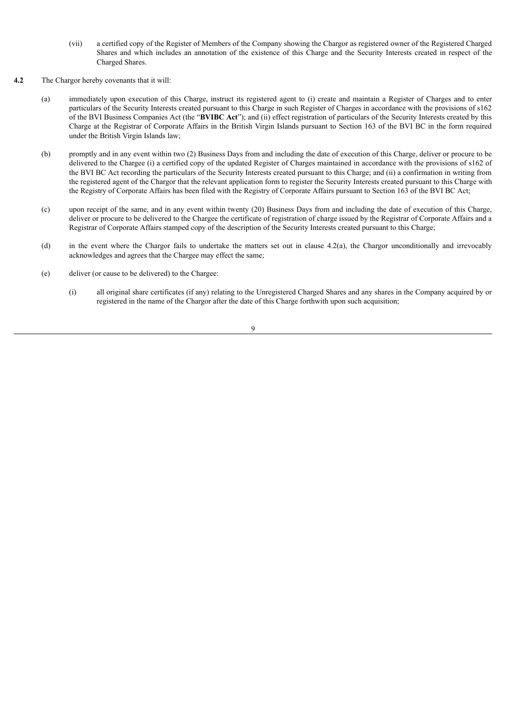- (vii) a certified copy of the Register of Members of the Company showing the Chargor as registered owner of the Registered Charged Shares and which includes an annotation of the existence of this Charge and the Security Interests created in respect of the Charged Shares.
- **4.2** The Chargor hereby covenants that it will:
	- (a) immediately upon execution of this Charge, instruct its registered agent to (i) create and maintain a Register of Charges and to enter particulars of the Security Interests created pursuant to this Charge in such Register of Charges in accordance with the provisions of s162 of the BVI Business Companies Act (the "**BVIBC Act**"); and (ii) effect registration of particulars of the Security Interests created by this Charge at the Registrar of Corporate Affairs in the British Virgin Islands pursuant to Section 163 of the BVI BC in the form required under the British Virgin Islands law;
	- (b) promptly and in any event within two (2) Business Days from and including the date of execution of this Charge, deliver or procure to be delivered to the Chargee (i) a certified copy of the updated Register of Charges maintained in accordance with the provisions of s162 of the BVI BC Act recording the particulars of the Security Interests created pursuant to this Charge; and (ii) a confirmation in writing from the registered agent of the Chargor that the relevant application form to register the Security Interests created pursuant to this Charge with the Registry of Corporate Affairs has been filed with the Registry of Corporate Affairs pursuant to Section 163 of the BVI BC Act;
	- (c) upon receipt of the same, and in any event within twenty (20) Business Days from and including the date of execution of this Charge, deliver or procure to be delivered to the Chargee the certificate of registration of charge issued by the Registrar of Corporate Affairs and a Registrar of Corporate Affairs stamped copy of the description of the Security Interests created pursuant to this Charge;
	- (d) in the event where the Chargor fails to undertake the matters set out in clause 4.2(a), the Chargor unconditionally and irrevocably acknowledges and agrees that the Chargee may effect the same;
	- (e) deliver (or cause to be delivered) to the Chargee:
		- (i) all original share certificates (if any) relating to the Unregistered Charged Shares and any shares in the Company acquired by or registered in the name of the Chargor after the date of this Charge forthwith upon such acquisition;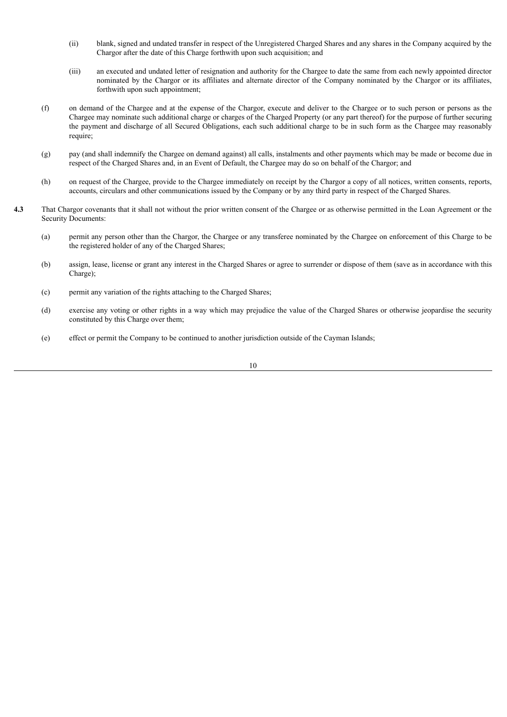- (ii) blank, signed and undated transfer in respect of the Unregistered Charged Shares and any shares in the Company acquired by the Chargor after the date of this Charge forthwith upon such acquisition; and
- (iii) an executed and undated letter of resignation and authority for the Chargee to date the same from each newly appointed director nominated by the Chargor or its affiliates and alternate director of the Company nominated by the Chargor or its affiliates, forthwith upon such appointment;
- (f) on demand of the Chargee and at the expense of the Chargor, execute and deliver to the Chargee or to such person or persons as the Chargee may nominate such additional charge or charges of the Charged Property (or any part thereof) for the purpose of further securing the payment and discharge of all Secured Obligations, each such additional charge to be in such form as the Chargee may reasonably require;
- (g) pay (and shall indemnify the Chargee on demand against) all calls, instalments and other payments which may be made or become due in respect of the Charged Shares and, in an Event of Default, the Chargee may do so on behalf of the Chargor; and
- (h) on request of the Chargee, provide to the Chargee immediately on receipt by the Chargor a copy of all notices, written consents, reports, accounts, circulars and other communications issued by the Company or by any third party in respect of the Charged Shares.
- **4.3** That Chargor covenants that it shall not without the prior written consent of the Chargee or as otherwise permitted in the Loan Agreement or the Security Documents:
	- (a) permit any person other than the Chargor, the Chargee or any transferee nominated by the Chargee on enforcement of this Charge to be the registered holder of any of the Charged Shares;
	- (b) assign, lease, license or grant any interest in the Charged Shares or agree to surrender or dispose of them (save as in accordance with this Charge);
	- (c) permit any variation of the rights attaching to the Charged Shares;
	- (d) exercise any voting or other rights in a way which may prejudice the value of the Charged Shares or otherwise jeopardise the security constituted by this Charge over them;
	- (e) effect or permit the Company to be continued to another jurisdiction outside of the Cayman Islands;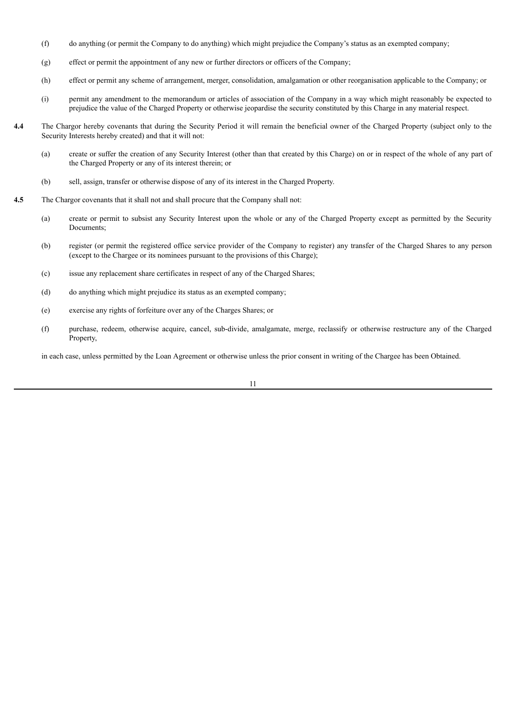- (f) do anything (or permit the Company to do anything) which might prejudice the Company's status as an exempted company;
- (g) effect or permit the appointment of any new or further directors or officers of the Company;
- (h) effect or permit any scheme of arrangement, merger, consolidation, amalgamation or other reorganisation applicable to the Company; or
- (i) permit any amendment to the memorandum or articles of association of the Company in a way which might reasonably be expected to prejudice the value of the Charged Property or otherwise jeopardise the security constituted by this Charge in any material respect.
- **4.4** The Chargor hereby covenants that during the Security Period it will remain the beneficial owner of the Charged Property (subject only to the Security Interests hereby created) and that it will not:
	- (a) create or suffer the creation of any Security Interest (other than that created by this Charge) on or in respect of the whole of any part of the Charged Property or any of its interest therein; or
	- (b) sell, assign, transfer or otherwise dispose of any of its interest in the Charged Property.
- **4.5** The Chargor covenants that it shall not and shall procure that the Company shall not:
	- (a) create or permit to subsist any Security Interest upon the whole or any of the Charged Property except as permitted by the Security Documents;
	- (b) register (or permit the registered office service provider of the Company to register) any transfer of the Charged Shares to any person (except to the Chargee or its nominees pursuant to the provisions of this Charge);
	- (c) issue any replacement share certificates in respect of any of the Charged Shares;
	- (d) do anything which might prejudice its status as an exempted company;
	- (e) exercise any rights of forfeiture over any of the Charges Shares; or
	- (f) purchase, redeem, otherwise acquire, cancel, sub-divide, amalgamate, merge, reclassify or otherwise restructure any of the Charged Property,

in each case, unless permitted by the Loan Agreement or otherwise unless the prior consent in writing of the Chargee has been Obtained.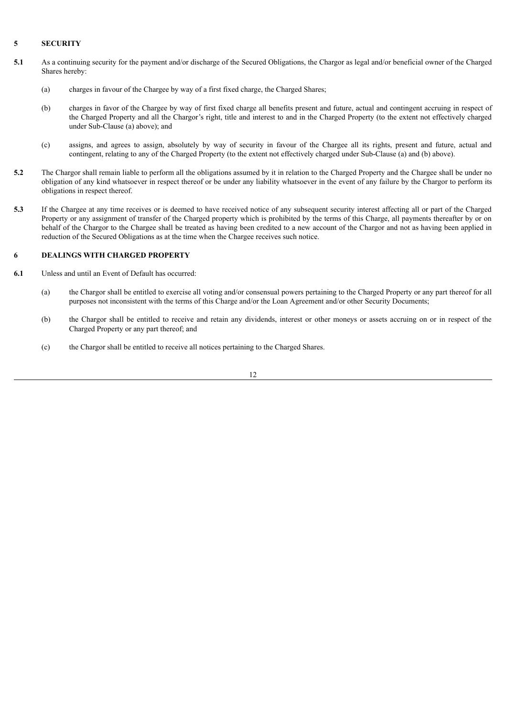### **5 SECURITY**

- **5.1** As a continuing security for the payment and/or discharge of the Secured Obligations, the Chargor as legal and/or beneficial owner of the Charged Shares hereby:
	- (a) charges in favour of the Chargee by way of a first fixed charge, the Charged Shares;
	- (b) charges in favor of the Chargee by way of first fixed charge all benefits present and future, actual and contingent accruing in respect of the Charged Property and all the Chargor's right, title and interest to and in the Charged Property (to the extent not effectively charged under Sub-Clause (a) above); and
	- (c) assigns, and agrees to assign, absolutely by way of security in favour of the Chargee all its rights, present and future, actual and contingent, relating to any of the Charged Property (to the extent not effectively charged under Sub-Clause (a) and (b) above).
- **5.2** The Chargor shall remain liable to perform all the obligations assumed by it in relation to the Charged Property and the Chargee shall be under no obligation of any kind whatsoever in respect thereof or be under any liability whatsoever in the event of any failure by the Chargor to perform its obligations in respect thereof.
- **5.3** If the Chargee at any time receives or is deemed to have received notice of any subsequent security interest affecting all or part of the Charged Property or any assignment of transfer of the Charged property which is prohibited by the terms of this Charge, all payments thereafter by or on behalf of the Chargor to the Chargee shall be treated as having been credited to a new account of the Chargor and not as having been applied in reduction of the Secured Obligations as at the time when the Chargee receives such notice.

## **6 DEALINGS WITH CHARGED PROPERTY**

- **6.1** Unless and until an Event of Default has occurred:
	- (a) the Chargor shall be entitled to exercise all voting and/or consensual powers pertaining to the Charged Property or any part thereof for all purposes not inconsistent with the terms of this Charge and/or the Loan Agreement and/or other Security Documents;
	- (b) the Chargor shall be entitled to receive and retain any dividends, interest or other moneys or assets accruing on or in respect of the Charged Property or any part thereof; and
	- (c) the Chargor shall be entitled to receive all notices pertaining to the Charged Shares.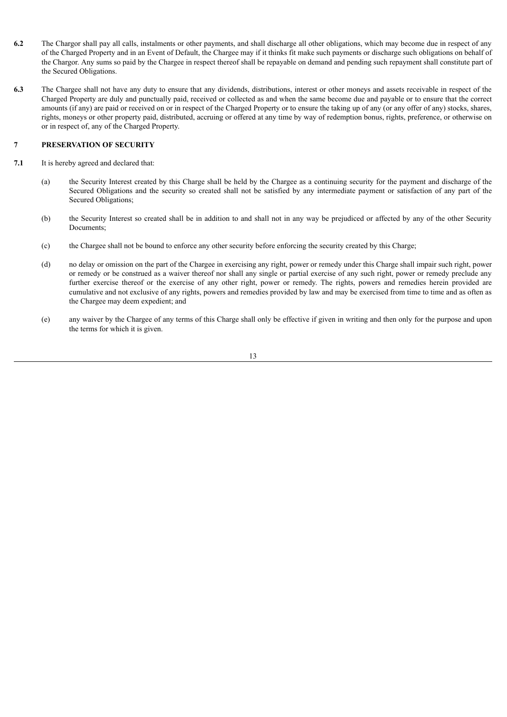- **6.2** The Chargor shall pay all calls, instalments or other payments, and shall discharge all other obligations, which may become due in respect of any of the Charged Property and in an Event of Default, the Chargee may if it thinks fit make such payments or discharge such obligations on behalf of the Chargor. Any sums so paid by the Chargee in respect thereof shall be repayable on demand and pending such repayment shall constitute part of the Secured Obligations.
- **6.3** The Chargee shall not have any duty to ensure that any dividends, distributions, interest or other moneys and assets receivable in respect of the Charged Property are duly and punctually paid, received or collected as and when the same become due and payable or to ensure that the correct amounts (if any) are paid or received on or in respect of the Charged Property or to ensure the taking up of any (or any offer of any) stocks, shares, rights, moneys or other property paid, distributed, accruing or offered at any time by way of redemption bonus, rights, preference, or otherwise on or in respect of, any of the Charged Property.

## **7 PRESERVATION OF SECURITY**

- **7.1** It is hereby agreed and declared that:
	- (a) the Security Interest created by this Charge shall be held by the Chargee as a continuing security for the payment and discharge of the Secured Obligations and the security so created shall not be satisfied by any intermediate payment or satisfaction of any part of the Secured Obligations;
	- (b) the Security Interest so created shall be in addition to and shall not in any way be prejudiced or affected by any of the other Security Documents;
	- (c) the Chargee shall not be bound to enforce any other security before enforcing the security created by this Charge;
	- (d) no delay or omission on the part of the Chargee in exercising any right, power or remedy under this Charge shall impair such right, power or remedy or be construed as a waiver thereof nor shall any single or partial exercise of any such right, power or remedy preclude any further exercise thereof or the exercise of any other right, power or remedy. The rights, powers and remedies herein provided are cumulative and not exclusive of any rights, powers and remedies provided by law and may be exercised from time to time and as often as the Chargee may deem expedient; and
	- (e) any waiver by the Chargee of any terms of this Charge shall only be effective if given in writing and then only for the purpose and upon the terms for which it is given.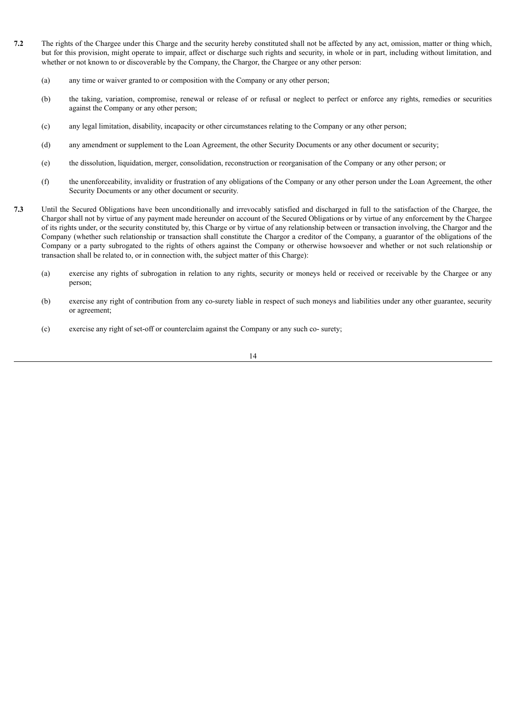- **7.2** The rights of the Chargee under this Charge and the security hereby constituted shall not be affected by any act, omission, matter or thing which, but for this provision, might operate to impair, affect or discharge such rights and security, in whole or in part, including without limitation, and whether or not known to or discoverable by the Company, the Chargor, the Chargee or any other person:
	- (a) any time or waiver granted to or composition with the Company or any other person;
	- (b) the taking, variation, compromise, renewal or release of or refusal or neglect to perfect or enforce any rights, remedies or securities against the Company or any other person;
	- (c) any legal limitation, disability, incapacity or other circumstances relating to the Company or any other person;
	- (d) any amendment or supplement to the Loan Agreement, the other Security Documents or any other document or security;
	- (e) the dissolution, liquidation, merger, consolidation, reconstruction or reorganisation of the Company or any other person; or
	- (f) the unenforceability, invalidity or frustration of any obligations of the Company or any other person under the Loan Agreement, the other Security Documents or any other document or security.
- **7.3** Until the Secured Obligations have been unconditionally and irrevocably satisfied and discharged in full to the satisfaction of the Chargee, the Chargor shall not by virtue of any payment made hereunder on account of the Secured Obligations or by virtue of any enforcement by the Chargee of its rights under, or the security constituted by, this Charge or by virtue of any relationship between or transaction involving, the Chargor and the Company (whether such relationship or transaction shall constitute the Chargor a creditor of the Company, a guarantor of the obligations of the Company or a party subrogated to the rights of others against the Company or otherwise howsoever and whether or not such relationship or transaction shall be related to, or in connection with, the subject matter of this Charge):
	- (a) exercise any rights of subrogation in relation to any rights, security or moneys held or received or receivable by the Chargee or any person;
	- (b) exercise any right of contribution from any co-surety liable in respect of such moneys and liabilities under any other guarantee, security or agreement;
	- (c) exercise any right of set-off or counterclaim against the Company or any such co- surety;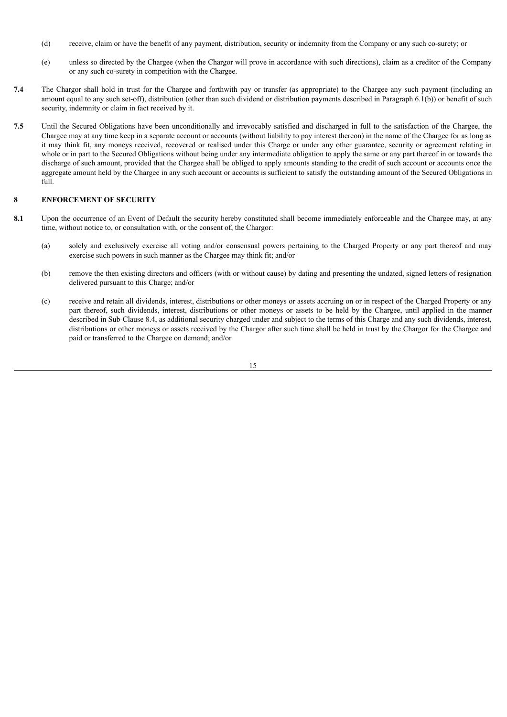- (d) receive, claim or have the benefit of any payment, distribution, security or indemnity from the Company or any such co-surety; or
- (e) unless so directed by the Chargee (when the Chargor will prove in accordance with such directions), claim as a creditor of the Company or any such co-surety in competition with the Chargee.
- **7.4** The Chargor shall hold in trust for the Chargee and forthwith pay or transfer (as appropriate) to the Chargee any such payment (including an amount equal to any such set-off), distribution (other than such dividend or distribution payments described in Paragraph 6.1(b)) or benefit of such security, indemnity or claim in fact received by it.
- **7.5** Until the Secured Obligations have been unconditionally and irrevocably satisfied and discharged in full to the satisfaction of the Chargee, the Chargee may at any time keep in a separate account or accounts (without liability to pay interest thereon) in the name of the Chargee for as long as it may think fit, any moneys received, recovered or realised under this Charge or under any other guarantee, security or agreement relating in whole or in part to the Secured Obligations without being under any intermediate obligation to apply the same or any part thereof in or towards the discharge of such amount, provided that the Chargee shall be obliged to apply amounts standing to the credit of such account or accounts once the aggregate amount held by the Chargee in any such account or accounts is sufficient to satisfy the outstanding amount of the Secured Obligations in full.

## **8 ENFORCEMENT OF SECURITY**

- 8.1 Upon the occurrence of an Event of Default the security hereby constituted shall become immediately enforceable and the Chargee may, at any time, without notice to, or consultation with, or the consent of, the Chargor:
	- (a) solely and exclusively exercise all voting and/or consensual powers pertaining to the Charged Property or any part thereof and may exercise such powers in such manner as the Chargee may think fit; and/or
	- (b) remove the then existing directors and officers (with or without cause) by dating and presenting the undated, signed letters of resignation delivered pursuant to this Charge; and/or
	- (c) receive and retain all dividends, interest, distributions or other moneys or assets accruing on or in respect of the Charged Property or any part thereof, such dividends, interest, distributions or other moneys or assets to be held by the Chargee, until applied in the manner described in Sub-Clause 8.4, as additional security charged under and subject to the terms of this Charge and any such dividends, interest, distributions or other moneys or assets received by the Chargor after such time shall be held in trust by the Chargor for the Chargee and paid or transferred to the Chargee on demand; and/or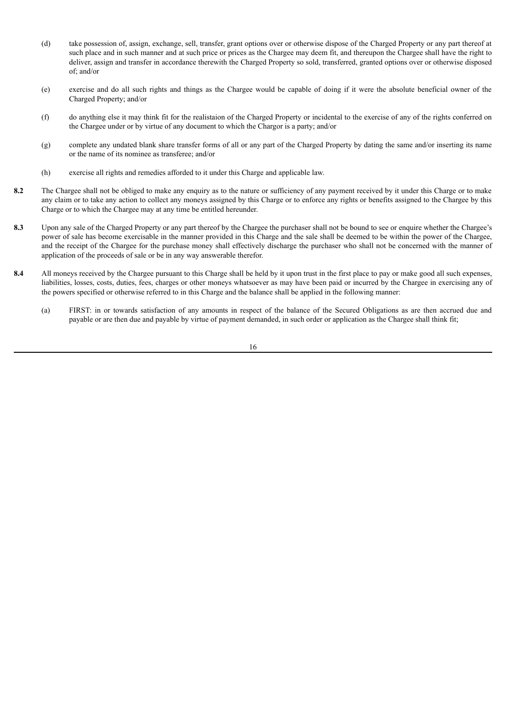- (d) take possession of, assign, exchange, sell, transfer, grant options over or otherwise dispose of the Charged Property or any part thereof at such place and in such manner and at such price or prices as the Chargee may deem fit, and thereupon the Chargee shall have the right to deliver, assign and transfer in accordance therewith the Charged Property so sold, transferred, granted options over or otherwise disposed of; and/or
- (e) exercise and do all such rights and things as the Chargee would be capable of doing if it were the absolute beneficial owner of the Charged Property; and/or
- (f) do anything else it may think fit for the realistaion of the Charged Property or incidental to the exercise of any of the rights conferred on the Chargee under or by virtue of any document to which the Chargor is a party; and/or
- (g) complete any undated blank share transfer forms of all or any part of the Charged Property by dating the same and/or inserting its name or the name of its nominee as transferee; and/or
- (h) exercise all rights and remedies afforded to it under this Charge and applicable law.
- **8.2** The Chargee shall not be obliged to make any enquiry as to the nature or sufficiency of any payment received by it under this Charge or to make any claim or to take any action to collect any moneys assigned by this Charge or to enforce any rights or benefits assigned to the Chargee by this Charge or to which the Chargee may at any time be entitled hereunder.
- **8.3** Upon any sale of the Charged Property or any part thereof by the Chargee the purchaser shall not be bound to see or enquire whether the Chargee's power of sale has become exercisable in the manner provided in this Charge and the sale shall be deemed to be within the power of the Chargee, and the receipt of the Chargee for the purchase money shall effectively discharge the purchaser who shall not be concerned with the manner of application of the proceeds of sale or be in any way answerable therefor.
- **8.4** All moneys received by the Chargee pursuant to this Charge shall be held by it upon trust in the first place to pay or make good all such expenses, liabilities, losses, costs, duties, fees, charges or other moneys whatsoever as may have been paid or incurred by the Chargee in exercising any of the powers specified or otherwise referred to in this Charge and the balance shall be applied in the following manner:
	- (a) FIRST: in or towards satisfaction of any amounts in respect of the balance of the Secured Obligations as are then accrued due and payable or are then due and payable by virtue of payment demanded, in such order or application as the Chargee shall think fit;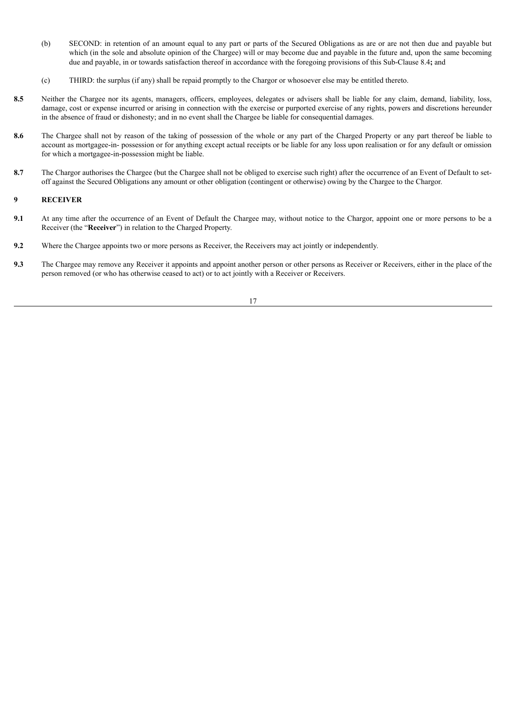- (b) SECOND: in retention of an amount equal to any part or parts of the Secured Obligations as are or are not then due and payable but which (in the sole and absolute opinion of the Chargee) will or may become due and payable in the future and, upon the same becoming due and payable, in or towards satisfaction thereof in accordance with the foregoing provisions of this Sub-Clause 8.4**;** and
- (c) THIRD: the surplus (if any) shall be repaid promptly to the Chargor or whosoever else may be entitled thereto.
- 8.5 Neither the Chargee nor its agents, managers, officers, employees, delegates or advisers shall be liable for any claim, demand, liability, loss, damage, cost or expense incurred or arising in connection with the exercise or purported exercise of any rights, powers and discretions hereunder in the absence of fraud or dishonesty; and in no event shall the Chargee be liable for consequential damages.
- **8.6** The Chargee shall not by reason of the taking of possession of the whole or any part of the Charged Property or any part thereof be liable to account as mortgagee-in- possession or for anything except actual receipts or be liable for any loss upon realisation or for any default or omission for which a mortgagee-in-possession might be liable.
- **8.7** The Chargor authorises the Chargee (but the Chargee shall not be obliged to exercise such right) after the occurrence of an Event of Default to setoff against the Secured Obligations any amount or other obligation (contingent or otherwise) owing by the Chargee to the Chargor.

## **9 RECEIVER**

- **9.1** At any time after the occurrence of an Event of Default the Chargee may, without notice to the Chargor, appoint one or more persons to be a Receiver (the "**Receiver**") in relation to the Charged Property.
- **9.2** Where the Chargee appoints two or more persons as Receiver, the Receivers may act jointly or independently.
- **9.3** The Chargee may remove any Receiver it appoints and appoint another person or other persons as Receiver or Receivers, either in the place of the person removed (or who has otherwise ceased to act) or to act jointly with a Receiver or Receivers.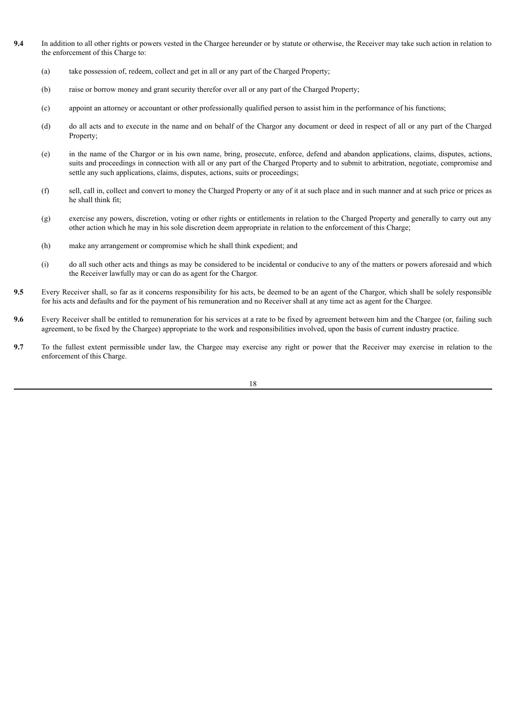- **9.4** In addition to all other rights or powers vested in the Chargee hereunder or by statute or otherwise, the Receiver may take such action in relation to the enforcement of this Charge to:
	- (a) take possession of, redeem, collect and get in all or any part of the Charged Property;
	- (b) raise or borrow money and grant security therefor over all or any part of the Charged Property;
	- (c) appoint an attorney or accountant or other professionally qualified person to assist him in the performance of his functions;
	- (d) do all acts and to execute in the name and on behalf of the Chargor any document or deed in respect of all or any part of the Charged Property;
	- (e) in the name of the Chargor or in his own name, bring, prosecute, enforce, defend and abandon applications, claims, disputes, actions, suits and proceedings in connection with all or any part of the Charged Property and to submit to arbitration, negotiate, compromise and settle any such applications, claims, disputes, actions, suits or proceedings;
	- (f) sell, call in, collect and convert to money the Charged Property or any of it at such place and in such manner and at such price or prices as he shall think fit;
	- (g) exercise any powers, discretion, voting or other rights or entitlements in relation to the Charged Property and generally to carry out any other action which he may in his sole discretion deem appropriate in relation to the enforcement of this Charge;
	- (h) make any arrangement or compromise which he shall think expedient; and
	- (i) do all such other acts and things as may be considered to be incidental or conducive to any of the matters or powers aforesaid and which the Receiver lawfully may or can do as agent for the Chargor.
- **9.5** Every Receiver shall, so far as it concerns responsibility for his acts, be deemed to be an agent of the Chargor, which shall be solely responsible for his acts and defaults and for the payment of his remuneration and no Receiver shall at any time act as agent for the Chargee.
- **9.6** Every Receiver shall be entitled to remuneration for his services at a rate to be fixed by agreement between him and the Chargee (or, failing such agreement, to be fixed by the Chargee) appropriate to the work and responsibilities involved, upon the basis of current industry practice.
- **9.7** To the fullest extent permissible under law, the Chargee may exercise any right or power that the Receiver may exercise in relation to the enforcement of this Charge.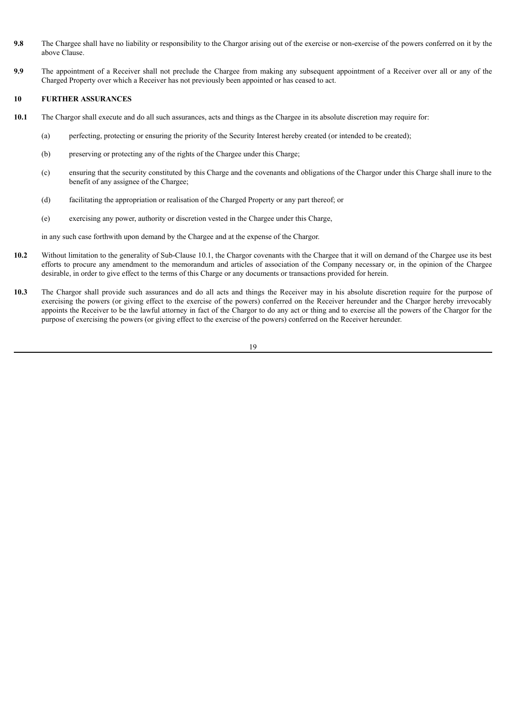- **9.8** The Chargee shall have no liability or responsibility to the Chargor arising out of the exercise or non-exercise of the powers conferred on it by the above Clause.
- **9.9** The appointment of a Receiver shall not preclude the Chargee from making any subsequent appointment of a Receiver over all or any of the Charged Property over which a Receiver has not previously been appointed or has ceased to act.

## **10 FURTHER ASSURANCES**

- **10.1** The Chargor shall execute and do all such assurances, acts and things as the Chargee in its absolute discretion may require for:
	- (a) perfecting, protecting or ensuring the priority of the Security Interest hereby created (or intended to be created);
	- (b) preserving or protecting any of the rights of the Chargee under this Charge;
	- (c) ensuring that the security constituted by this Charge and the covenants and obligations of the Chargor under this Charge shall inure to the benefit of any assignee of the Chargee;
	- (d) facilitating the appropriation or realisation of the Charged Property or any part thereof; or
	- (e) exercising any power, authority or discretion vested in the Chargee under this Charge,

in any such case forthwith upon demand by the Chargee and at the expense of the Chargor.

- 10.2 Without limitation to the generality of Sub-Clause 10.1, the Chargor covenants with the Chargee that it will on demand of the Chargee use its best efforts to procure any amendment to the memorandum and articles of association of the Company necessary or, in the opinion of the Chargee desirable, in order to give effect to the terms of this Charge or any documents or transactions provided for herein.
- **10.3** The Chargor shall provide such assurances and do all acts and things the Receiver may in his absolute discretion require for the purpose of exercising the powers (or giving effect to the exercise of the powers) conferred on the Receiver hereunder and the Chargor hereby irrevocably appoints the Receiver to be the lawful attorney in fact of the Chargor to do any act or thing and to exercise all the powers of the Chargor for the purpose of exercising the powers (or giving effect to the exercise of the powers) conferred on the Receiver hereunder.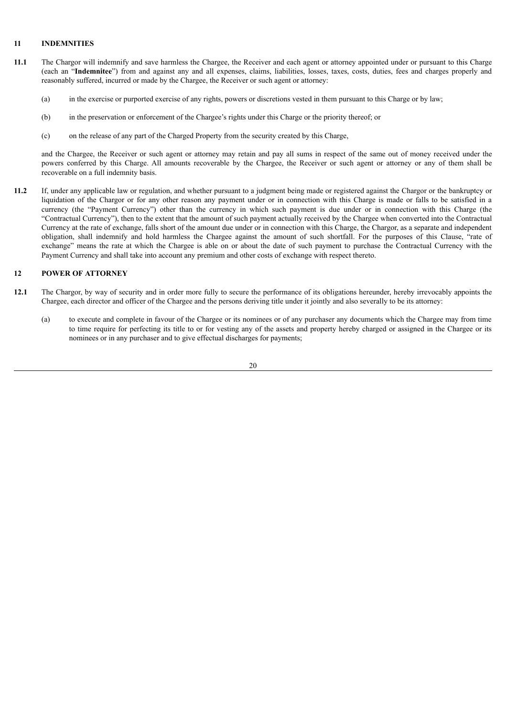## **11 INDEMNITIES**

- **11.1** The Chargor will indemnify and save harmless the Chargee, the Receiver and each agent or attorney appointed under or pursuant to this Charge (each an "**Indemnitee**") from and against any and all expenses, claims, liabilities, losses, taxes, costs, duties, fees and charges properly and reasonably suffered, incurred or made by the Chargee, the Receiver or such agent or attorney:
	- (a) in the exercise or purported exercise of any rights, powers or discretions vested in them pursuant to this Charge or by law;
	- (b) in the preservation or enforcement of the Chargee's rights under this Charge or the priority thereof; or
	- (c) on the release of any part of the Charged Property from the security created by this Charge,

and the Chargee, the Receiver or such agent or attorney may retain and pay all sums in respect of the same out of money received under the powers conferred by this Charge. All amounts recoverable by the Chargee, the Receiver or such agent or attorney or any of them shall be recoverable on a full indemnity basis.

**11.2** If, under any applicable law or regulation, and whether pursuant to a judgment being made or registered against the Chargor or the bankruptcy or liquidation of the Chargor or for any other reason any payment under or in connection with this Charge is made or falls to be satisfied in a currency (the "Payment Currency") other than the currency in which such payment is due under or in connection with this Charge (the "Contractual Currency"), then to the extent that the amount of such payment actually received by the Chargee when converted into the Contractual Currency at the rate of exchange, falls short of the amount due under or in connection with this Charge, the Chargor, as a separate and independent obligation, shall indemnify and hold harmless the Chargee against the amount of such shortfall. For the purposes of this Clause, "rate of exchange" means the rate at which the Chargee is able on or about the date of such payment to purchase the Contractual Currency with the Payment Currency and shall take into account any premium and other costs of exchange with respect thereto.

#### **12 POWER OF ATTORNEY**

- **12.1** The Chargor, by way of security and in order more fully to secure the performance of its obligations hereunder, hereby irrevocably appoints the Chargee, each director and officer of the Chargee and the persons deriving title under it jointly and also severally to be its attorney:
	- (a) to execute and complete in favour of the Chargee or its nominees or of any purchaser any documents which the Chargee may from time to time require for perfecting its title to or for vesting any of the assets and property hereby charged or assigned in the Chargee or its nominees or in any purchaser and to give effectual discharges for payments;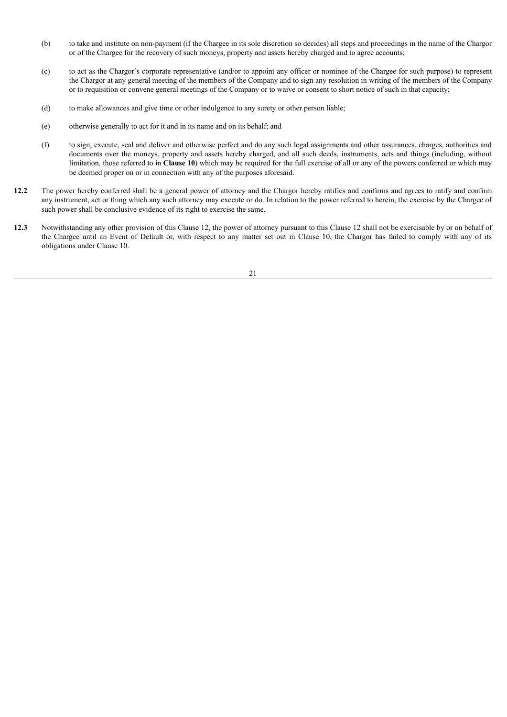- (b) to take and institute on non-payment (if the Chargee in its sole discretion so decides) all steps and proceedings in the name of the Chargor or of the Chargee for the recovery of such moneys, property and assets hereby charged and to agree accounts;
- (c) to act as the Chargor's corporate representative (and/or to appoint any officer or nominee of the Chargee for such purpose) to represent the Chargor at any general meeting of the members of the Company and to sign any resolution in writing of the members of the Company or to requisition or convene general meetings of the Company or to waive or consent to short notice of such in that capacity;
- (d) to make allowances and give time or other indulgence to any surety or other person liable;
- (e) otherwise generally to act for it and in its name and on its behalf; and
- (f) to sign, execute, seal and deliver and otherwise perfect and do any such legal assignments and other assurances, charges, authorities and documents over the moneys, property and assets hereby charged, and all such deeds, instruments, acts and things (including, without limitation, those referred to in **Clause 10**) which may be required for the full exercise of all or any of the powers conferred or which may be deemed proper on or in connection with any of the purposes aforesaid.
- **12.2** The power hereby conferred shall be a general power of attorney and the Chargor hereby ratifies and confirms and agrees to ratify and confirm any instrument, act or thing which any such attorney may execute or do. In relation to the power referred to herein, the exercise by the Chargee of such power shall be conclusive evidence of its right to exercise the same.
- **12.3** Notwithstanding any other provision of this Clause 12, the power of attorney pursuant to this Clause 12 shall not be exercisable by or on behalf of the Chargee until an Event of Default or, with respect to any matter set out in Clause 10, the Chargor has failed to comply with any of its obligations under Clause 10.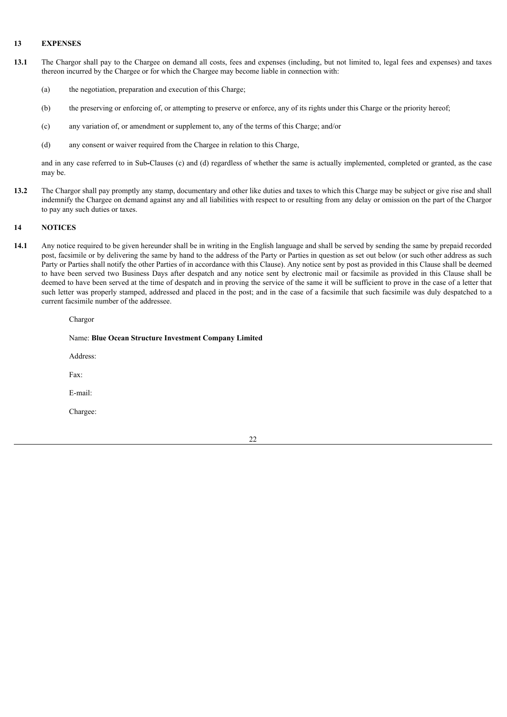#### **13 EXPENSES**

- **13.1** The Chargor shall pay to the Chargee on demand all costs, fees and expenses (including, but not limited to, legal fees and expenses) and taxes thereon incurred by the Chargee or for which the Chargee may become liable in connection with:
	- (a) the negotiation, preparation and execution of this Charge;
	- (b) the preserving or enforcing of, or attempting to preserve or enforce, any of its rights under this Charge or the priority hereof;
	- (c) any variation of, or amendment or supplement to, any of the terms of this Charge; and/or
	- (d) any consent or waiver required from the Chargee in relation to this Charge,

and in any case referred to in Sub**-**Clauses (c) and (d) regardless of whether the same is actually implemented, completed or granted, as the case may be.

**13.2** The Chargor shall pay promptly any stamp, documentary and other like duties and taxes to which this Charge may be subject or give rise and shall indemnify the Chargee on demand against any and all liabilities with respect to or resulting from any delay or omission on the part of the Chargor to pay any such duties or taxes.

#### **14 NOTICES**

**14.1** Any notice required to be given hereunder shall be in writing in the English language and shall be served by sending the same by prepaid recorded post, facsimile or by delivering the same by hand to the address of the Party or Parties in question as set out below (or such other address as such Party or Parties shall notify the other Parties of in accordance with this Clause). Any notice sent by post as provided in this Clause shall be deemed to have been served two Business Days after despatch and any notice sent by electronic mail or facsimile as provided in this Clause shall be deemed to have been served at the time of despatch and in proving the service of the same it will be sufficient to prove in the case of a letter that such letter was properly stamped, addressed and placed in the post; and in the case of a facsimile that such facsimile was duly despatched to a current facsimile number of the addressee.

Chargor

#### Name: **Blue Ocean Structure Investment Company Limited**

Address:

Fax:

E-mail:

Chargee: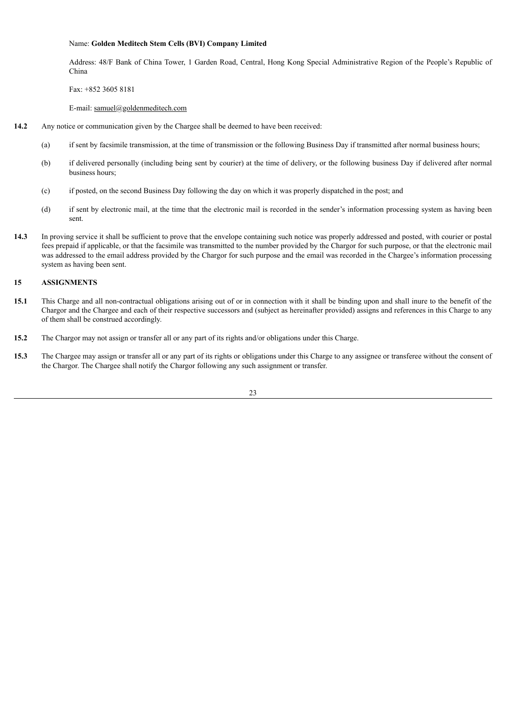#### Name: **Golden Meditech Stem Cells (BVI) Company Limited**

Address: 48/F Bank of China Tower, 1 Garden Road, Central, Hong Kong Special Administrative Region of the People's Republic of China

Fax: +852 3605 8181

E-mail: samuel@goldenmeditech.com

- **14.2** Any notice or communication given by the Chargee shall be deemed to have been received:
	- (a) if sent by facsimile transmission, at the time of transmission or the following Business Day if transmitted after normal business hours;
	- (b) if delivered personally (including being sent by courier) at the time of delivery, or the following business Day if delivered after normal business hours;
	- (c) if posted, on the second Business Day following the day on which it was properly dispatched in the post; and
	- (d) if sent by electronic mail, at the time that the electronic mail is recorded in the sender's information processing system as having been sent.
- **14.3** In proving service it shall be sufficient to prove that the envelope containing such notice was properly addressed and posted, with courier or postal fees prepaid if applicable, or that the facsimile was transmitted to the number provided by the Chargor for such purpose, or that the electronic mail was addressed to the email address provided by the Chargor for such purpose and the email was recorded in the Chargee's information processing system as having been sent.

#### **15 ASSIGNMENTS**

- **15.1** This Charge and all non-contractual obligations arising out of or in connection with it shall be binding upon and shall inure to the benefit of the Chargor and the Chargee and each of their respective successors and (subject as hereinafter provided) assigns and references in this Charge to any of them shall be construed accordingly.
- **15.2** The Chargor may not assign or transfer all or any part of its rights and/or obligations under this Charge.
- **15.3** The Chargee may assign or transfer all or any part of its rights or obligations under this Charge to any assignee or transferee without the consent of the Chargor. The Chargee shall notify the Chargor following any such assignment or transfer.

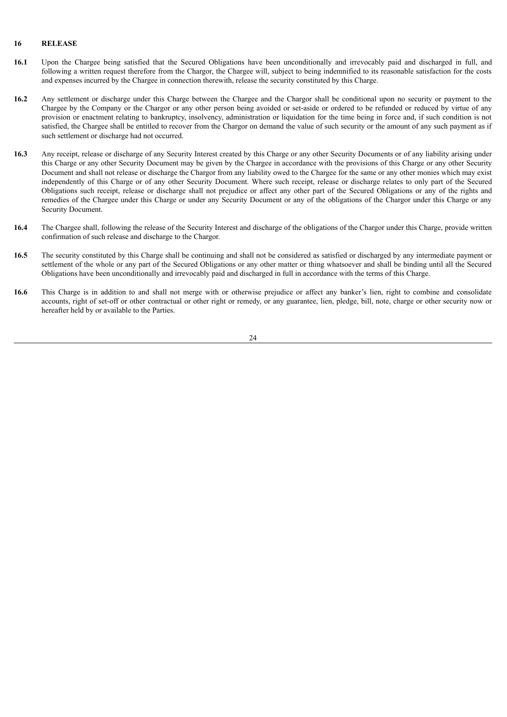#### **16 RELEASE**

- **16.1** Upon the Chargee being satisfied that the Secured Obligations have been unconditionally and irrevocably paid and discharged in full, and following a written request therefore from the Chargor, the Chargee will, subject to being indemnified to its reasonable satisfaction for the costs and expenses incurred by the Chargee in connection therewith, release the security constituted by this Charge.
- **16.2** Any settlement or discharge under this Charge between the Chargee and the Chargor shall be conditional upon no security or payment to the Chargee by the Company or the Chargor or any other person being avoided or set-aside or ordered to be refunded or reduced by virtue of any provision or enactment relating to bankruptcy, insolvency, administration or liquidation for the time being in force and, if such condition is not satisfied, the Chargee shall be entitled to recover from the Chargor on demand the value of such security or the amount of any such payment as if such settlement or discharge had not occurred.
- **16.3** Any receipt, release or discharge of any Security Interest created by this Charge or any other Security Documents or of any liability arising under this Charge or any other Security Document may be given by the Chargee in accordance with the provisions of this Charge or any other Security Document and shall not release or discharge the Chargor from any liability owed to the Chargee for the same or any other monies which may exist independently of this Charge or of any other Security Document. Where such receipt, release or discharge relates to only part of the Secured Obligations such receipt, release or discharge shall not prejudice or affect any other part of the Secured Obligations or any of the rights and remedies of the Chargee under this Charge or under any Security Document or any of the obligations of the Chargor under this Charge or any Security Document.
- **16.4** The Chargee shall, following the release of the Security Interest and discharge of the obligations of the Chargor under this Charge, provide written confirmation of such release and discharge to the Chargor.
- **16.5** The security constituted by this Charge shall be continuing and shall not be considered as satisfied or discharged by any intermediate payment or settlement of the whole or any part of the Secured Obligations or any other matter or thing whatsoever and shall be binding until all the Secured Obligations have been unconditionally and irrevocably paid and discharged in full in accordance with the terms of this Charge.
- **16.6** This Charge is in addition to and shall not merge with or otherwise prejudice or affect any banker's lien, right to combine and consolidate accounts, right of set-off or other contractual or other right or remedy, or any guarantee, lien, pledge, bill, note, charge or other security now or hereafter held by or available to the Parties.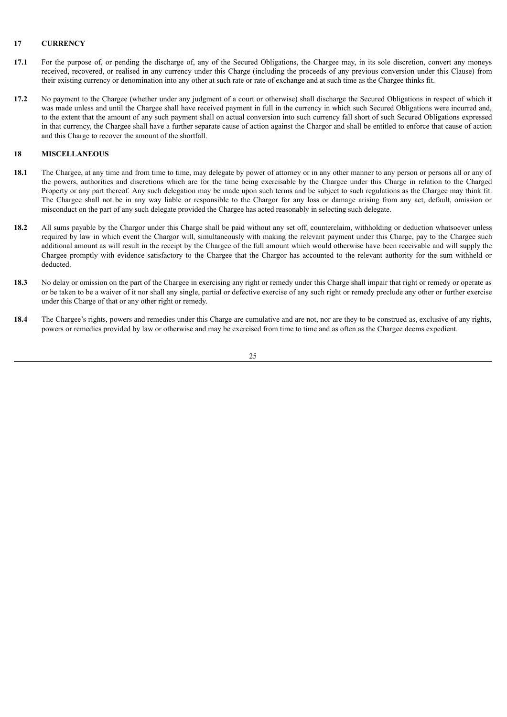#### **17 CURRENCY**

- **17.1** For the purpose of, or pending the discharge of, any of the Secured Obligations, the Chargee may, in its sole discretion, convert any moneys received, recovered, or realised in any currency under this Charge (including the proceeds of any previous conversion under this Clause) from their existing currency or denomination into any other at such rate or rate of exchange and at such time as the Chargee thinks fit.
- **17.2** No payment to the Chargee (whether under any judgment of a court or otherwise) shall discharge the Secured Obligations in respect of which it was made unless and until the Chargee shall have received payment in full in the currency in which such Secured Obligations were incurred and, to the extent that the amount of any such payment shall on actual conversion into such currency fall short of such Secured Obligations expressed in that currency, the Chargee shall have a further separate cause of action against the Chargor and shall be entitled to enforce that cause of action and this Charge to recover the amount of the shortfall.

## **18 MISCELLANEOUS**

- 18.1 The Chargee, at any time and from time to time, may delegate by power of attorney or in any other manner to any person or persons all or any of the powers, authorities and discretions which are for the time being exercisable by the Chargee under this Charge in relation to the Charged Property or any part thereof. Any such delegation may be made upon such terms and be subject to such regulations as the Chargee may think fit. The Chargee shall not be in any way liable or responsible to the Chargor for any loss or damage arising from any act, default, omission or misconduct on the part of any such delegate provided the Chargee has acted reasonably in selecting such delegate.
- **18.2** All sums payable by the Chargor under this Charge shall be paid without any set off, counterclaim, withholding or deduction whatsoever unless required by law in which event the Chargor will, simultaneously with making the relevant payment under this Charge, pay to the Chargee such additional amount as will result in the receipt by the Chargee of the full amount which would otherwise have been receivable and will supply the Chargee promptly with evidence satisfactory to the Chargee that the Chargor has accounted to the relevant authority for the sum withheld or deducted.
- **18.3** No delay or omission on the part of the Chargee in exercising any right or remedy under this Charge shall impair that right or remedy or operate as or be taken to be a waiver of it nor shall any single, partial or defective exercise of any such right or remedy preclude any other or further exercise under this Charge of that or any other right or remedy.
- **18.4** The Chargee's rights, powers and remedies under this Charge are cumulative and are not, nor are they to be construed as, exclusive of any rights, powers or remedies provided by law or otherwise and may be exercised from time to time and as often as the Chargee deems expedient.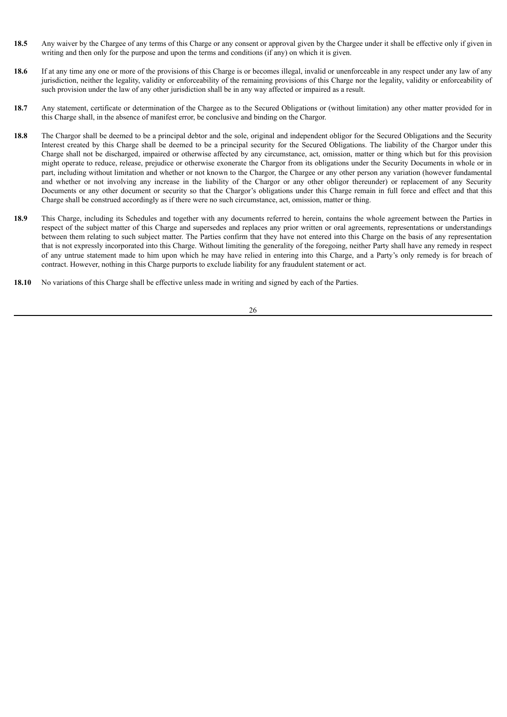- **18.5** Any waiver by the Chargee of any terms of this Charge or any consent or approval given by the Chargee under it shall be effective only if given in writing and then only for the purpose and upon the terms and conditions (if any) on which it is given.
- **18.6** If at any time any one or more of the provisions of this Charge is or becomes illegal, invalid or unenforceable in any respect under any law of any jurisdiction, neither the legality, validity or enforceability of the remaining provisions of this Charge nor the legality, validity or enforceability of such provision under the law of any other jurisdiction shall be in any way affected or impaired as a result.
- **18.7** Any statement, certificate or determination of the Chargee as to the Secured Obligations or (without limitation) any other matter provided for in this Charge shall, in the absence of manifest error, be conclusive and binding on the Chargor.
- **18.8** The Chargor shall be deemed to be a principal debtor and the sole, original and independent obligor for the Secured Obligations and the Security Interest created by this Charge shall be deemed to be a principal security for the Secured Obligations. The liability of the Chargor under this Charge shall not be discharged, impaired or otherwise affected by any circumstance, act, omission, matter or thing which but for this provision might operate to reduce, release, prejudice or otherwise exonerate the Chargor from its obligations under the Security Documents in whole or in part, including without limitation and whether or not known to the Chargor, the Chargee or any other person any variation (however fundamental and whether or not involving any increase in the liability of the Chargor or any other obligor thereunder) or replacement of any Security Documents or any other document or security so that the Chargor's obligations under this Charge remain in full force and effect and that this Charge shall be construed accordingly as if there were no such circumstance, act, omission, matter or thing.
- 18.9 This Charge, including its Schedules and together with any documents referred to herein, contains the whole agreement between the Parties in respect of the subject matter of this Charge and supersedes and replaces any prior written or oral agreements, representations or understandings between them relating to such subject matter. The Parties confirm that they have not entered into this Charge on the basis of any representation that is not expressly incorporated into this Charge. Without limiting the generality of the foregoing, neither Party shall have any remedy in respect of any untrue statement made to him upon which he may have relied in entering into this Charge, and a Party's only remedy is for breach of contract. However, nothing in this Charge purports to exclude liability for any fraudulent statement or act.
- **18.10** No variations of this Charge shall be effective unless made in writing and signed by each of the Parties.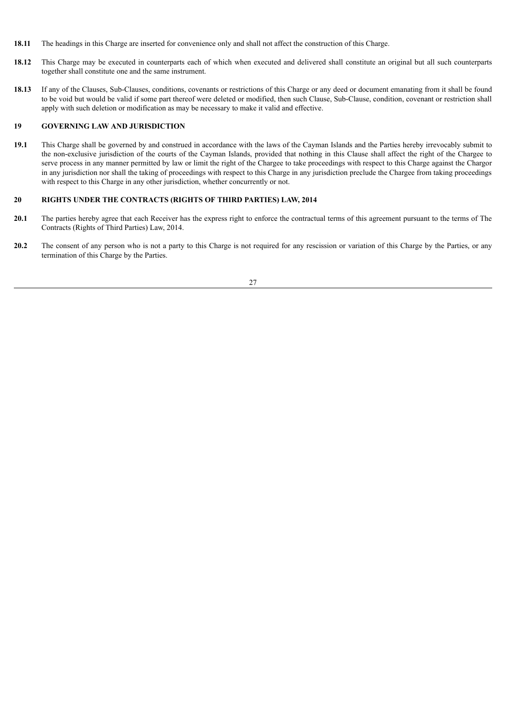- **18.11** The headings in this Charge are inserted for convenience only and shall not affect the construction of this Charge.
- **18.12** This Charge may be executed in counterparts each of which when executed and delivered shall constitute an original but all such counterparts together shall constitute one and the same instrument.
- **18.13** If any of the Clauses, Sub-Clauses, conditions, covenants or restrictions of this Charge or any deed or document emanating from it shall be found to be void but would be valid if some part thereof were deleted or modified, then such Clause, Sub-Clause, condition, covenant or restriction shall apply with such deletion or modification as may be necessary to make it valid and effective.

#### **19 GOVERNING LAW AND JURISDICTION**

**19.1** This Charge shall be governed by and construed in accordance with the laws of the Cayman Islands and the Parties hereby irrevocably submit to the non-exclusive jurisdiction of the courts of the Cayman Islands, provided that nothing in this Clause shall affect the right of the Chargee to serve process in any manner permitted by law or limit the right of the Chargee to take proceedings with respect to this Charge against the Chargor in any jurisdiction nor shall the taking of proceedings with respect to this Charge in any jurisdiction preclude the Chargee from taking proceedings with respect to this Charge in any other jurisdiction, whether concurrently or not.

#### **20 RIGHTS UNDER THE CONTRACTS (RIGHTS OF THIRD PARTIES) LAW, 2014**

- **20.1** The parties hereby agree that each Receiver has the express right to enforce the contractual terms of this agreement pursuant to the terms of The Contracts (Rights of Third Parties) Law, 2014.
- **20.2** The consent of any person who is not a party to this Charge is not required for any rescission or variation of this Charge by the Parties, or any termination of this Charge by the Parties.

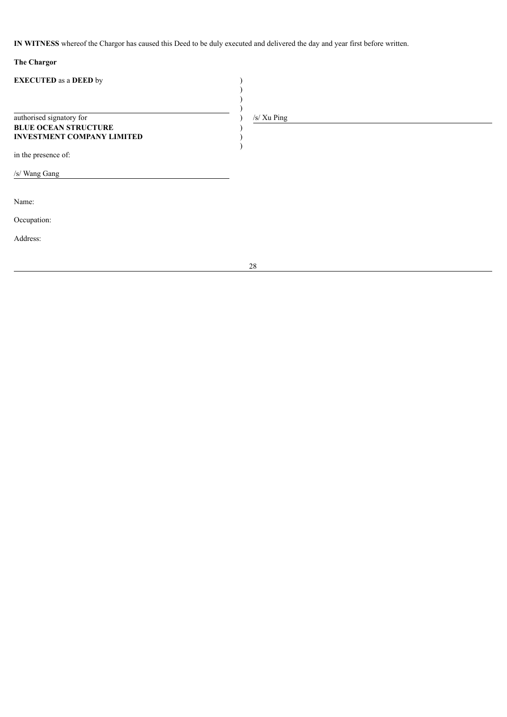**IN WITNESS** whereof the Chargor has caused this Deed to be duly executed and delivered the day and year first before written.

# **The Chargor**

| <b>EXECUTED</b> as a DEED by                                                                 |             |
|----------------------------------------------------------------------------------------------|-------------|
|                                                                                              |             |
| authorised signatory for<br><b>BLUE OCEAN STRUCTURE</b><br><b>INVESTMENT COMPANY LIMITED</b> | /s/ Xu Ping |
| in the presence of:                                                                          |             |
| /s/ Wang Gang                                                                                |             |
| Name:                                                                                        |             |
| Occupation:                                                                                  |             |
| Address:                                                                                     |             |
|                                                                                              | 28          |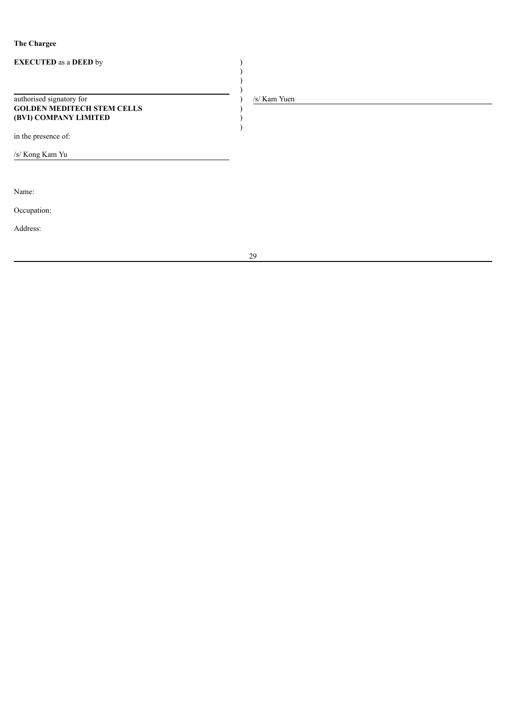# **The Chargee**

| <b>EXECUTED</b> as a DEED by                                                           |              |
|----------------------------------------------------------------------------------------|--------------|
| authorised signatory for<br><b>GOLDEN MEDITECH STEM CELLS</b><br>(BVI) COMPANY LIMITED | /s/ Kam Yuen |
| in the presence of:                                                                    |              |
| /s/ Kong Kam Yu                                                                        |              |
|                                                                                        |              |
| Name:                                                                                  |              |
| Occupation:                                                                            |              |
| Address:                                                                               |              |
|                                                                                        | 29           |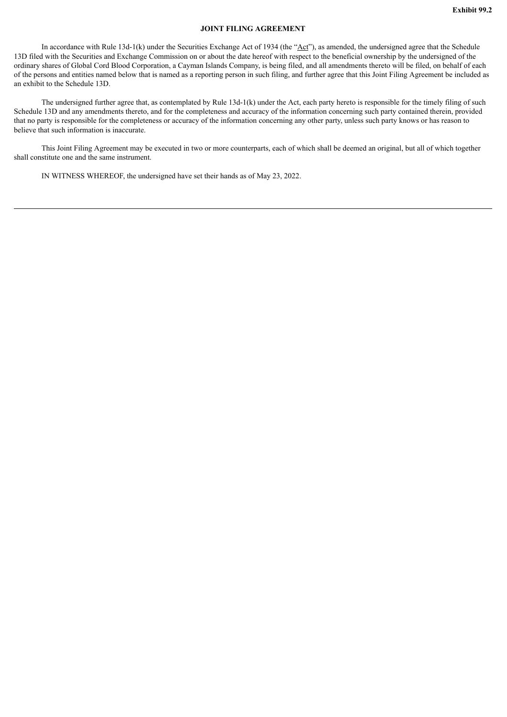#### **JOINT FILING AGREEMENT**

<span id="page-39-0"></span>In accordance with Rule 13d-1(k) under the Securities Exchange Act of 1934 (the " $\Delta ct$ "), as amended, the undersigned agree that the Schedule 13D filed with the Securities and Exchange Commission on or about the date hereof with respect to the beneficial ownership by the undersigned of the ordinary shares of Global Cord Blood Corporation, a Cayman Islands Company, is being filed, and all amendments thereto will be filed, on behalf of each of the persons and entities named below that is named as a reporting person in such filing, and further agree that this Joint Filing Agreement be included as an exhibit to the Schedule 13D.

The undersigned further agree that, as contemplated by Rule 13d-1(k) under the Act, each party hereto is responsible for the timely filing of such Schedule 13D and any amendments thereto, and for the completeness and accuracy of the information concerning such party contained therein, provided that no party is responsible for the completeness or accuracy of the information concerning any other party, unless such party knows or has reason to believe that such information is inaccurate.

This Joint Filing Agreement may be executed in two or more counterparts, each of which shall be deemed an original, but all of which together shall constitute one and the same instrument.

IN WITNESS WHEREOF, the undersigned have set their hands as of May 23, 2022.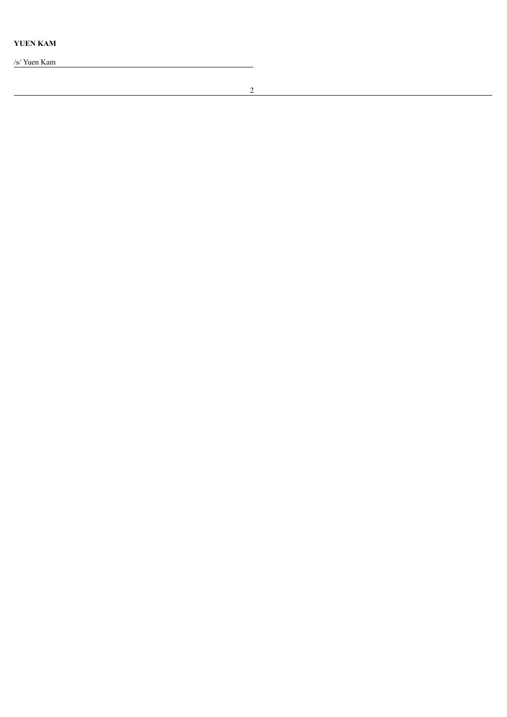**Y U E N KA M**

/s/ Yuen Kam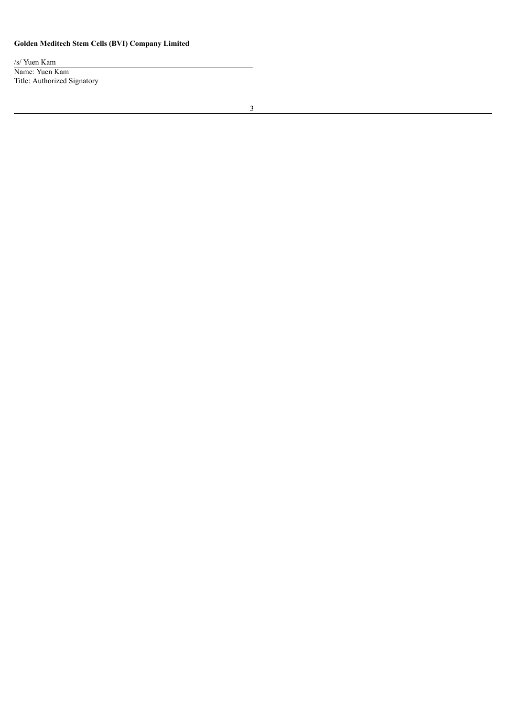# **Golden Meditech Stem Cells (BVI) Company Limited**

/s/ Yuen Kam Name: Yuen Kam Title: Authorized Signatory